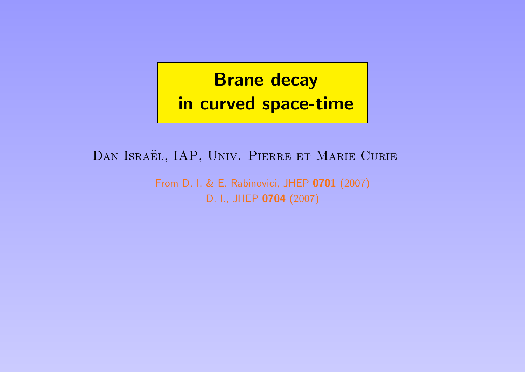# **Brane decay** in curved space-time

DAN ISRAËL, IAP, UNIV. PIERRE ET MARIE CURIE

From D. I. & E. Rabinovici, JHEP 0701 (2007) D. I., JHEP 0704 (2007)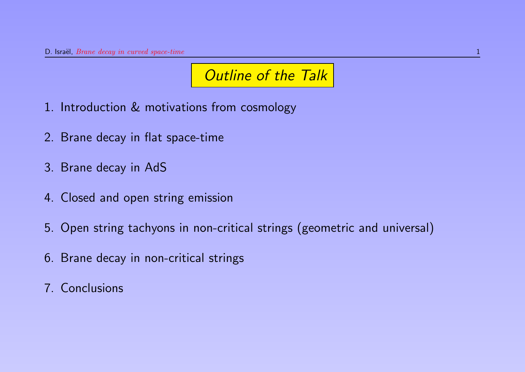# **Outline of the Talk**

- 1. Introduction & motivations from cosmology
- 2. Brane decay in flat space-time
- 3. Brane decay in AdS
- 4. Closed and open string emission
- 5. Open string tachyons in non-critical strings (geometric and universal)
- 6. Brane decay in non-critical strings
- 7. Conclusions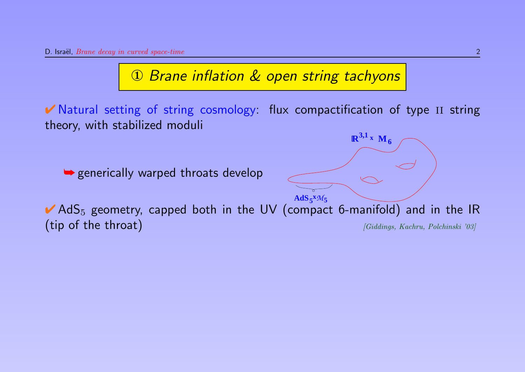### ① Brane inflation & open string tachyons

✔ Natural setting of string cosmology: flux compactification of type ii string theory, with stabilized moduli

 $R^{3,1}$ **x M**<sub>6</sub>

**► generically warped throats develop** 

 $AdS_5^xM_5$  $\blacktriangleright$  AdS<sub>5</sub> geometry, capped both in the UV (compact 6-manifold) and in the IR  $(\text{tip of the throat})$  [Giddings, Kachru, Polchinski '03]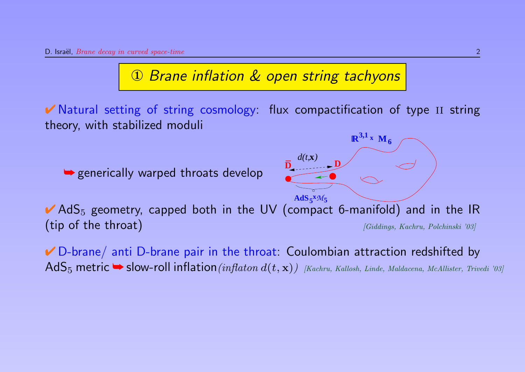#### ① Brane inflation & open string tachyons

✔ Natural setting of string cosmology: flux compactification of type ii string theory, with stabilized moduli

**► generically warped throats develop** 



 $\blacktriangleright$  AdS<sub>5</sub> geometry, capped both in the UV (compact 6-manifold) and in the IR (tip of the throat)  $[Giddings, Kachru, Polchinski '03]$ → generically warped throats develop<br>  $\overrightarrow{A}$   $\overrightarrow{AB}$   $\overrightarrow{A}^{M5}$ <br>  $\overrightarrow{A}$   $\overrightarrow{AB}$   $\overrightarrow{A}^{M5}$ <br>  $\overrightarrow{A}$   $\overrightarrow{AB}$   $\overrightarrow{A}^{M5}$ <br>  $\overrightarrow{A}$   $\overrightarrow{A}$   $\overrightarrow{A}$   $\overrightarrow{A}$   $\overrightarrow{A}$   $\overrightarrow{A}$   $\overrightarrow{A}$   $\overrightarrow{A}$   $\overrightarrow{A}$   $\overrightarrow{$ 

✔ D-brane/ anti D-brane pair in the throat: Coulombian attraction redshifted by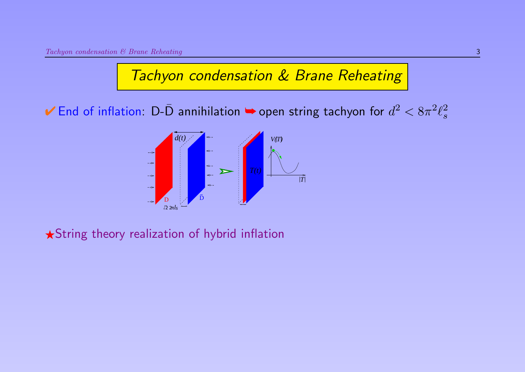### Tachyon condensation & Brane Reheating

 $\blacktriangledown$  End of inflation: D-D annihilation  $\blacktriangledown$  open string tachyon for  $d^2 < 8\pi^2 \ell_s^2$ s



 $\star$ String theory realization of hybrid inflation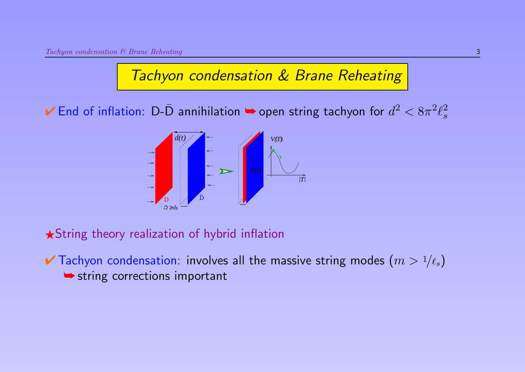#### Tachyon condensation & Brane Reheating

 $\blacktriangledown$  End of inflation: D-D annihilation  $\blacktriangledown$  open string tachyon for  $d^2 < 8\pi^2 \ell_s^2$ s



 $\star$ String theory realization of hybrid inflation

 $\blacktriangleright$  Tachyon condensation: involves all the massive string modes  $(m > 1/\ell_s)$ **► string corrections important**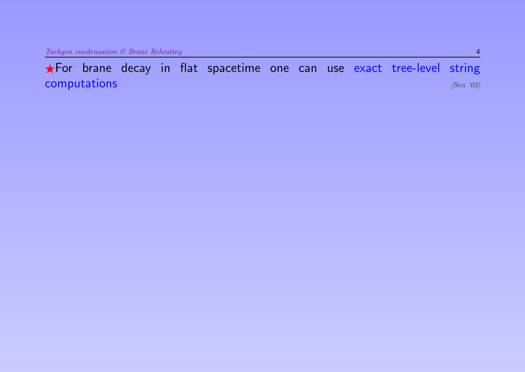\*For brane decay in flat spacetime one can use exact tree-level string computations [Sen '02]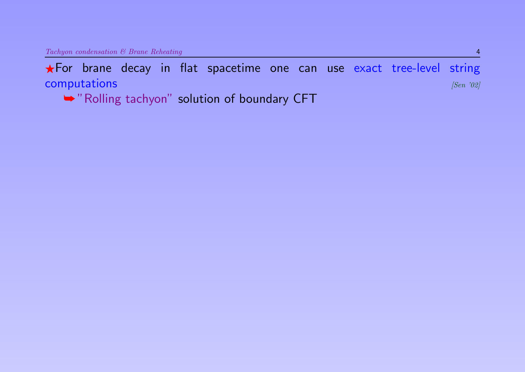FFor brane decay in flat spacetime one can use exact tree-level string computations and  $[Sen 302]$ 

➥ "Rolling tachyon" solution of boundary CFT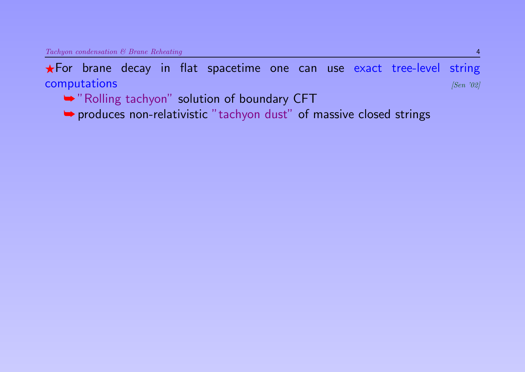FFor brane decay in flat spacetime one can use exact tree-level string computations and  $[Sen 302]$ 

- ➥ "Rolling tachyon" solution of boundary CFT
- ➥ produces non-relativistic "tachyon dust" of massive closed strings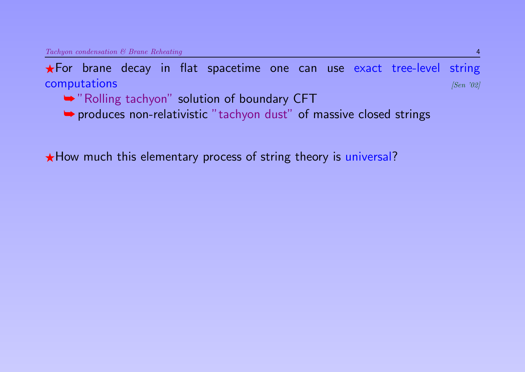FFor brane decay in flat spacetime one can use exact tree-level string computations and  $[Sen 102]$ 

- ➥ "Rolling tachyon" solution of boundary CFT
- ➥ produces non-relativistic "tachyon dust" of massive closed strings

 $\star$  How much this elementary process of string theory is universal?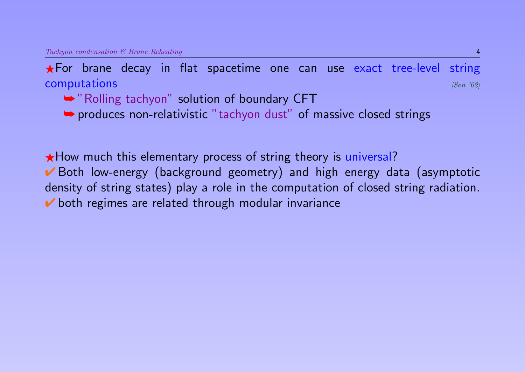FFor brane decay in flat spacetime one can use exact tree-level string computations and  $\sum_{|Sen|}$  (Sen '02]

- ➥ "Rolling tachyon" solution of boundary CFT
- ➥ produces non-relativistic "tachyon dust" of massive closed strings

 $\star$  How much this elementary process of string theory is universal? ✔ Both low-energy (background geometry) and high energy data (asymptotic density of string states) play a role in the computation of closed string radiation. ✔ both regimes are related through modular invariance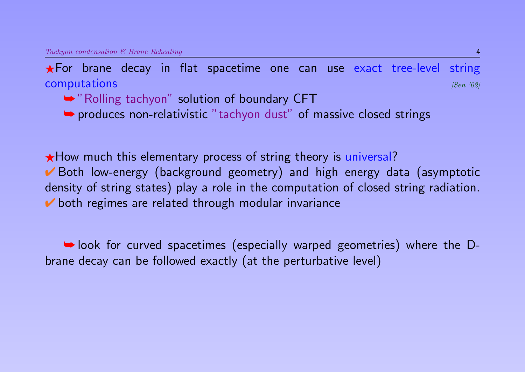$\star$  For brane decay in flat spacetime one can use exact tree-level string computations and  $\sum_{|Sen|}$  (Sen '02]

- ➥ "Rolling tachyon" solution of boundary CFT
- ➥ produces non-relativistic "tachyon dust" of massive closed strings

 $\star$  How much this elementary process of string theory is universal? ■ Both low-energy (background geometry) and high energy data (asymptotic density of string states) play a role in the computation of closed string radiation.  $\triangleright$  both regimes are related through modular invariance

➥ look for curved spacetimes (especially warped geometries) where the Dbrane decay can be followed exactly (at the perturbative level)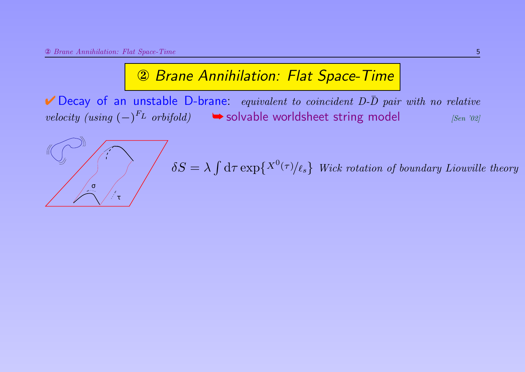#### ② Brane Annihilation: Flat Space-Time

 $\blacktriangleright$  Decay of an unstable D-brane: equivalent to coincident D- $\bar{D}$  pair with no relative velocity (using  $(-)^{F_L}$  orbifold)  $\qquad$   $\blacktriangleright$  solvable worldsheet string model [Sen '02]

τ σ  $\delta S = \lambda \int \mathrm{d}\tau \exp\{X^{0}(\tau)/\ell_{s}\}$  Wick rotation of boundary Liouville theory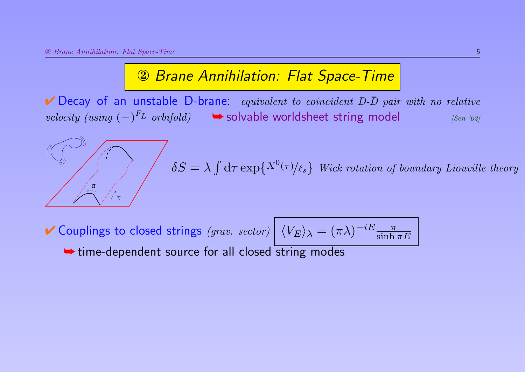#### ② Brane Annihilation: Flat Space-Time

 $\blacktriangleright$  Decay of an unstable D-brane: equivalent to coincident D- $\bar{D}$  pair with no relative velocity (using  $(-)^{F_L}$  orbifold)  $\qquad$   $\blacktriangleright$  solvable worldsheet string model [Sen '02]

$$
\delta S = \lambda \int d\tau \exp\{X^0(\tau)/\ell_s\} \text{ Wick rotation of boundary Liouville theory}
$$

 $V$  Couplings to closed strings (grav. sector)  $\left| \right.$   $\langle V_{E} \rangle_{\lambda} = (\pi \lambda)^{-iE} \frac{\pi}{\sinh \lambda}$  $\sinh \pi E$ **► time-dependent source for all closed string modes**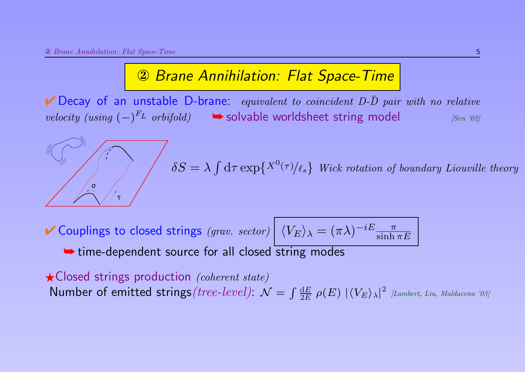#### ② Brane Annihilation: Flat Space-Time

 $\blacktriangleright$  Decay of an unstable D-brane: equivalent to coincident D- $\bar{D}$  pair with no relative velocity (using  $(-)^{F_L}$  orbifold)  $\qquad$   $\blacktriangleright$  solvable worldsheet string model [Sen '02]

τ σ  $\delta S = \lambda \int \mathrm{d}\tau \exp\{X^{0}(\tau)/\ell_{s}\}$  Wick rotation of boundary Liouville theory

 $V$  Couplings to closed strings (grav. sector)  $\left| \right.$   $\langle V_{E} \rangle_{\lambda} = (\pi \lambda)^{-iE} \frac{\pi}{\sinh \lambda}$  $\sinh \pi E$ **► time-dependent source for all closed string modes** 

 $\star$  Closed strings production (coherent state) Number of emitted strings (tree-level):  $\mathcal{N} = \int \frac{dE}{2E}$  $\frac{\mathrm{d}E}{2E}$   $\rho(E)$   $|\langle V_E \rangle_{\lambda}|^2$  [Lambert, Liu, Maldacena '03]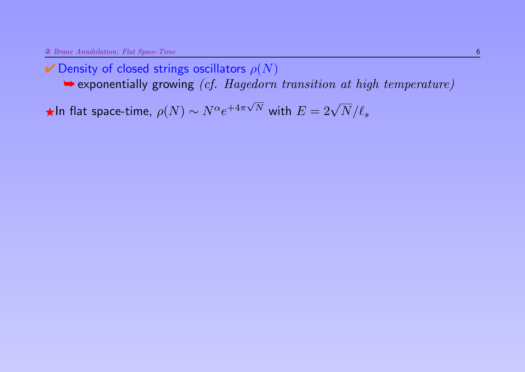$\rightarrow$  exponentially growing (cf. Hagedorn transition at high temperature)

 $\bigstar$ In flat space-time,  $\rho(N) \sim N^{\alpha} e^{+4\pi r}$  $\sqrt{N}$  with  $E = 2\sqrt{N}/\ell_s$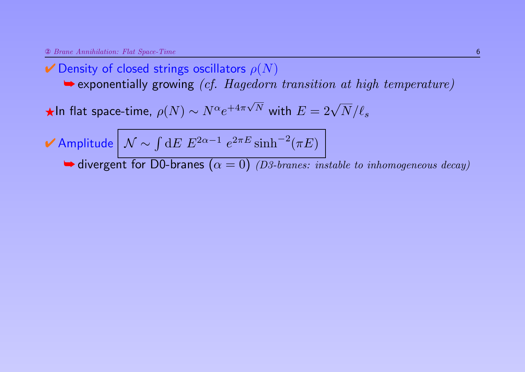➥ exponentially growing (cf. Hagedorn transition at high temperature)

 $\bigstar$ In flat space-time,  $\rho(N) \sim N^{\alpha} e^{+4\pi r}$  $\sqrt{N}$  with  $E = 2\sqrt{N}/\ell_s$ 

✔ Amplitude  $\left\vert \mathcal{N}\sim\int\mathrm{d}E\; E^{2\alpha-1}\;e^{2\pi E}\sinh^{-2}(\pi E)\right\vert$ 

 $\blacktriangleright$  divergent for D0-branes  $(\alpha = 0)$  (D3-branes: instable to inhomogeneous decay)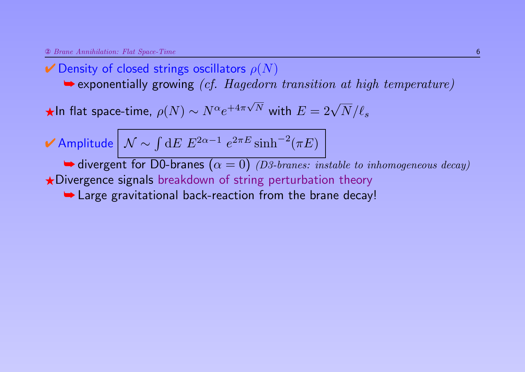$\rightarrow$  exponentially growing *(cf. Hagedorn transition at high temperature)* 

 $\bigstar$ In flat space-time,  $\rho(N) \sim N^{\alpha} e^{+4\pi r}$  $\sqrt{N}$  with  $E = 2\sqrt{N}/\ell_s$ 

$$
\blacktriangleright \text{Amplitude} \big| \mathcal{N} \sim \int \mathrm{d}E \ E^{2\alpha - 1} \ e^{2\pi E} \sinh^{-2}(\pi E)
$$

 $\blacktriangleright$  divergent for D0-branes  $(\alpha = 0)$  (D3-branes: instable to inhomogeneous decay)

 $\bigstar$ Divergence signals breakdown of string perturbation theory

**► Large gravitational back-reaction from the brane decay!**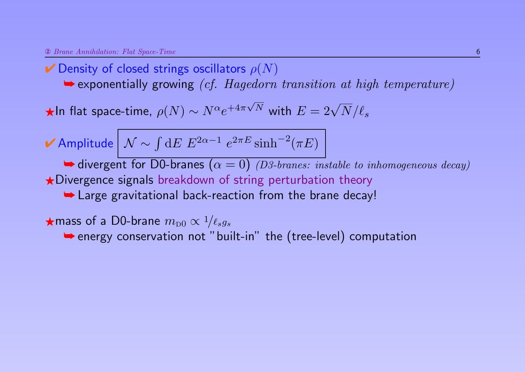$\rightarrow$  exponentially growing *(cf. Hagedorn transition at high temperature)* 

 $\bigstar$ In flat space-time,  $\rho(N) \sim N^{\alpha} e^{+4\pi r}$  $\sqrt{N}$  with  $E = 2\sqrt{N}/\ell_s$ 

$$
\mathbf{\nV}
$$
 Amplitude  $\big| \mathcal{N} \sim \int dE \ E^{2\alpha - 1} \ e^{2\pi E} \sinh^{-2}(\pi E)$ 

 $\blacktriangleright$  divergent for D0-branes  $(\alpha = 0)$  (D3-branes: instable to inhomogeneous decay)

 $\bigstar$ Divergence signals breakdown of string perturbation theory

**► Large gravitational back-reaction from the brane decay!** 

 $\star$ mass of a D0-brane  $m_{\text{D}0} \propto 1/\ell_s g_s$ 

➥ energy conservation not "built-in" the (tree-level) computation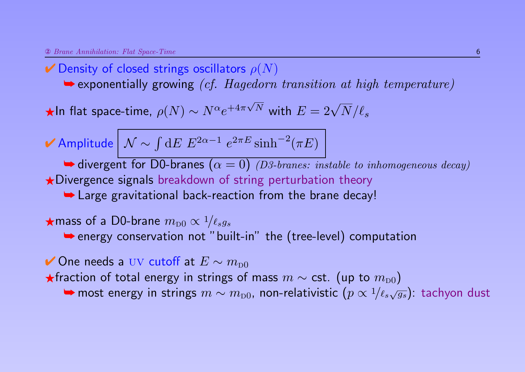$\rightarrow$  exponentially growing *(cf. Hagedorn transition at high temperature)* 

 $\bigstar$ In flat space-time,  $\rho(N) \sim N^{\alpha} e^{+4\pi r}$  $\sqrt{N}$  with  $E = 2\sqrt{N}/\ell_s$ 

$$
\mathbf{\nV}
$$
 Amplitude  $\big| \mathcal{N} \sim \int dE \ E^{2\alpha - 1} \ e^{2\pi E} \sinh^{-2}(\pi E)$ 

 $\blacktriangleright$  divergent for D0-branes  $(\alpha = 0)$  (D3-branes: instable to inhomogeneous decay)

 $\star$ Divergence signals breakdown of string perturbation theory

**► Large gravitational back-reaction from the brane decay!** 

 $\star$ mass of a D0-brane  $m_{\text{D}0} \propto 1/\ell_s g_s$ 

➥ energy conservation not "built-in" the (tree-level) computation

✔ One needs a  $UV$  cutoff at  $E \sim m_{D0}$ 

 $\bigstar$ fraction of total energy in strings of mass  $m \sim \textsf{cst.}$  (up to  $m_{\text{D}0}$ )

→ most energy in strings  $m \sim m_{\mathrm{D}0}$ , non-relativistic  $(p \propto 1/\ell_s \sqrt{g_s})$ : tachyon dust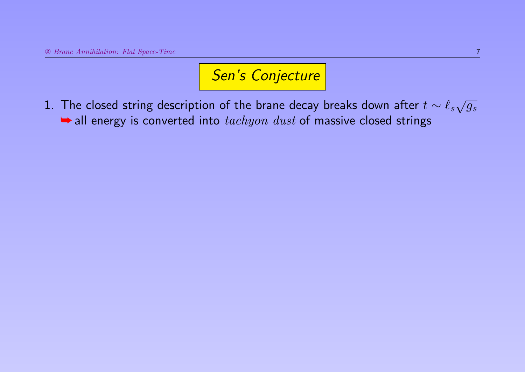1. The closed string description of the brane decay breaks down after  $t \sim \ell_s \sqrt{g_s}$  $\rightarrow$  all energy is converted into  $tachyon$  dust of massive closed strings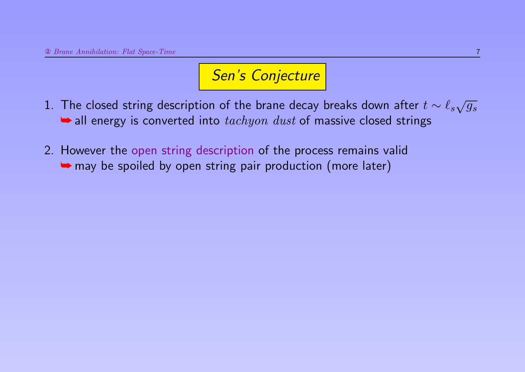- 1. The closed string description of the brane decay breaks down after  $t \sim \ell_s \sqrt{g_s}$  $\rightarrow$  all energy is converted into  $tachyon$  dust of massive closed strings
- 2. However the open string description of the process remains valid **►** may be spoiled by open string pair production (more later)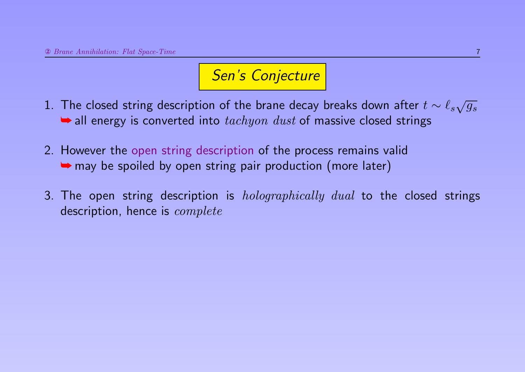- 1. The closed string description of the brane decay breaks down after  $t \sim \ell_s \sqrt{g_s}$  $\rightarrow$  all energy is converted into  $tachyon$  dust of massive closed strings
- 2. However the open string description of the process remains valid **►** may be spoiled by open string pair production (more later)
- 3. The open string description is *holographically dual* to the closed strings description, hence is *complete*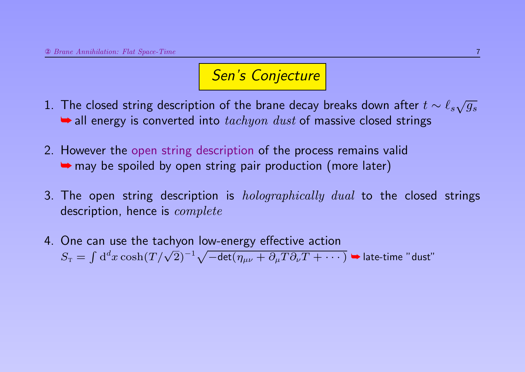- 1. The closed string description of the brane decay breaks down after  $t \sim \ell_s \sqrt{g_s}$  $\rightarrow$  all energy is converted into  $tachyon$  dust of massive closed strings
- 2. However the open string description of the process remains valid **►** may be spoiled by open string pair production (more later)
- 3. The open string description is *holographically dual* to the closed strings description, hence is *complete*
- 4. One can use the tachyon low-energy effective action Ste can use the tachyon fow energy encerve action<br>  $S_T = \int d^d x \cosh(T/\sqrt{2})^{-1} \sqrt{-\det(\eta_{\mu\nu} + \partial_\mu T \partial_\nu T + \cdots)}$   $\blacktriangleright$  late-time "dust"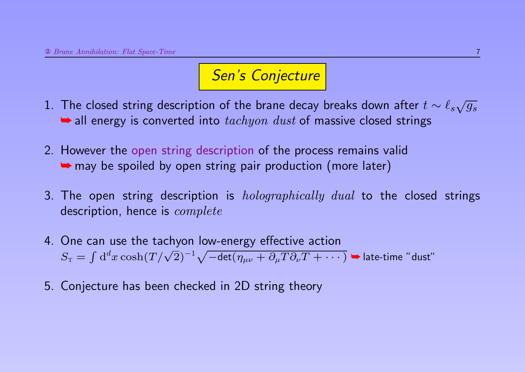- 1. The closed string description of the brane decay breaks down after  $t \sim \ell_s \sqrt{g_s}$  $\rightarrow$  all energy is converted into  $tachyon$  dust of massive closed strings
- 2. However the open string description of the process remains valid **►** may be spoiled by open string pair production (more later)
- 3. The open string description is *holographically dual* to the closed strings description, hence is *complete*
- 4. One can use the tachyon low-energy effective action Ste can use the tachyon fow energy encerve action<br>  $S_T = \int d^d x \cosh(T/\sqrt{2})^{-1} \sqrt{-\det(\eta_{\mu\nu} + \partial_\mu T \partial_\nu T + \cdots)}$   $\blacktriangleright$  late-time "dust"
- 5. Conjecture has been checked in 2D string theory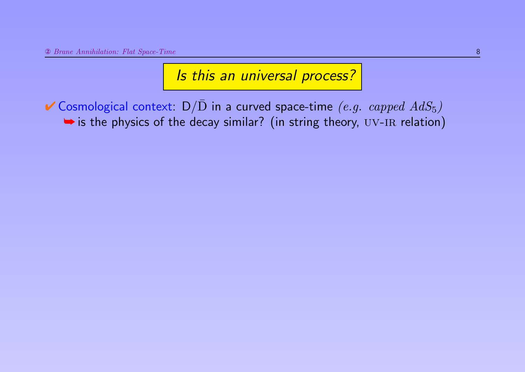$\checkmark$  Cosmological context:  $D/\bar{D}$  in a curved space-time (e.g. capped  $AdS_5$ )  $\rightarrow$  is the physics of the decay similar? (in string theory, UV-IR relation)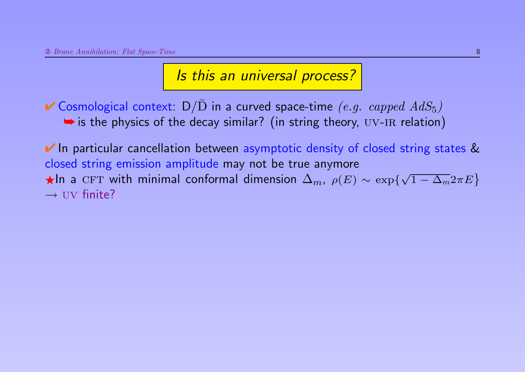✔ Cosmological context:  $D/\overline{D}$  in a curved space-time (e.g. capped  $AdS_5$ )  $\rightarrow$  is the physics of the decay similar? (in string theory, UV-IR relation)

**★ In particular cancellation between asymptotic density of closed string states &** closed string emission amplitude may not be true anymore  $\star$ In a CFT with minimal conformal dimension  $\Delta_m$ ,  $\rho(E) \sim \exp\{\sqrt{2\pi}$  $\overline{1-\Delta_m}2\pi E\big\}$  $\rightarrow$  UV finite?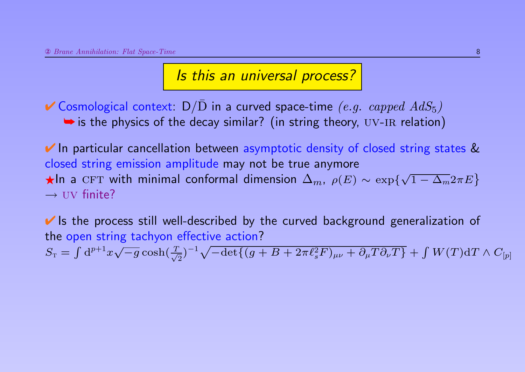✔ Cosmological context:  $D/\overline{D}$  in a curved space-time (e.g. capped  $AdS_5$ )  $\rightarrow$  is the physics of the decay similar? (in string theory, UV-IR relation)

■ In particular cancellation between asymptotic density of closed string states & closed string emission amplitude may not be true anymore  $\star$ In a CFT with minimal conformal dimension  $\Delta_m$ ,  $\rho(E) \sim \exp\{\sqrt{2\pi}$  $\overline{1-\Delta_m}2\pi E\big\}$  $\rightarrow$  UV finite?

■ Is the process still well-described by the curved background generalization of the open string tachyon effective action? √

 $S_{\text{\tiny T}} = \int \mathrm{d}^{p+1}x$  $\overline{-g}\cosh(\frac{T}{\sqrt{2}})$  $\frac{1}{2}$ ) $^{-1} \sqrt{-\mathrm{det}\{(g+B+2\pi \ell_s^2F)_{\mu\nu}+\partial_{\mu}T\partial_{\nu}T\}}+\int W(T)\mathrm{d}T\wedge C_{[p]}$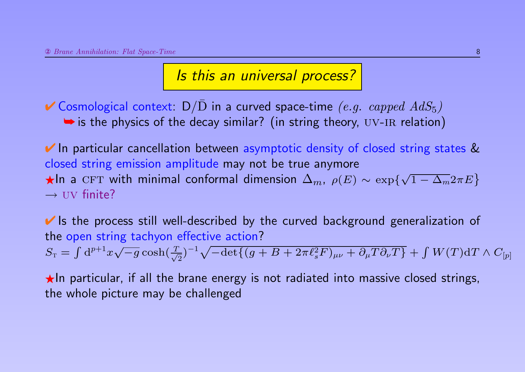✔ Cosmological context:  $D/\overline{D}$  in a curved space-time (e.g. capped  $AdS_5$ )  $\rightarrow$  is the physics of the decay similar? (in string theory, UV-IR relation)

■ In particular cancellation between asymptotic density of closed string states & closed string emission amplitude may not be true anymore  $\star$ In a CFT with minimal conformal dimension  $\Delta_m$ ,  $\rho(E) \sim \exp\{\sqrt{2\pi}$  $\overline{1-\Delta_m}2\pi E\big\}$  $\rightarrow$  UV finite?

■ Is the process still well-described by the curved background generalization of the open string tachyon effective action?  $S_{\text{\tiny T}} = \int \mathrm{d}^{p+1}x$ √  $\overline{-g}\cosh(\frac{T}{\sqrt{2}})$  $\frac{1}{2}$ ) $^{-1} \sqrt{-\mathrm{det}\{(g+B+2\pi \ell_s^2F)_{\mu\nu}+\partial_{\mu}T\partial_{\nu}T\}}+\int W(T)\mathrm{d}T\wedge C_{[p]}$ 

 $\star$ In particular, if all the brane energy is not radiated into massive closed strings, the whole picture may be challenged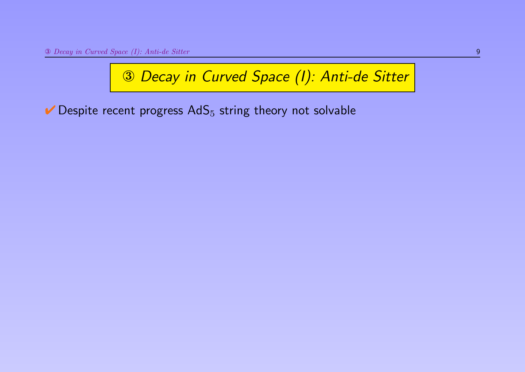$\vee$  Despite recent progress AdS<sub>5</sub> string theory not solvable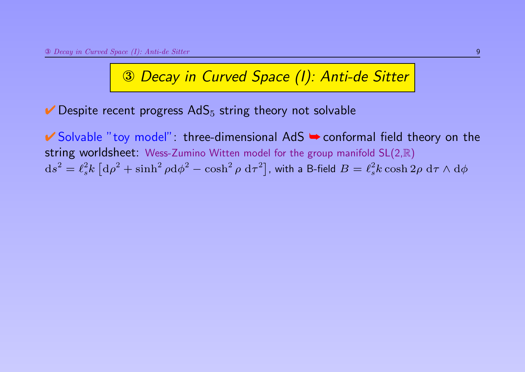$\vee$  Despite recent progress AdS<sub>5</sub> string theory not solvable

✔ Solvable "toy model": three-dimensional AdS ➥ conformal field theory on the string worldsheet: Wess-Zumino Witten model for the group manifold SL(2,R)  $\mathrm{d} s^2 = \ell_s^2 k \left[ \mathrm{d} \rho^2 + \sinh^2{\rho} \mathrm{d} \phi^2 - \cosh^2{\rho} \ \mathrm{d} \tau^2 \right]$ , with a B-field  $B = \ell_s^2 k \cosh 2\rho \ \mathrm{d} \tau \wedge \mathrm{d} \phi$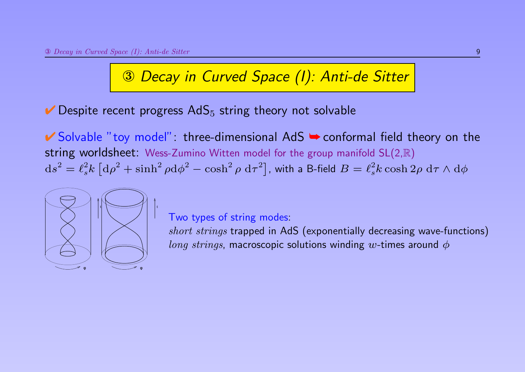$\vee$  Despite recent progress AdS<sub>5</sub> string theory not solvable

✔ Solvable "toy model": three-dimensional AdS ➥ conformal field theory on the string worldsheet: Wess-Zumino Witten model for the group manifold SL(2,R)  $\mathrm{d} s^2 = \ell_s^2 k \left[ \mathrm{d} \rho^2 + \sinh^2{\rho} \mathrm{d} \phi^2 - \cosh^2{\rho} \ \mathrm{d} \tau^2 \right]$ , with a B-field  $B = \ell_s^2 k \cosh 2\rho \ \mathrm{d} \tau \wedge \mathrm{d} \phi$ 



#### Two types of string modes:

short strings trapped in AdS (exponentially decreasing wave-functions) *long strings*, macroscopic solutions winding w-times around  $\phi$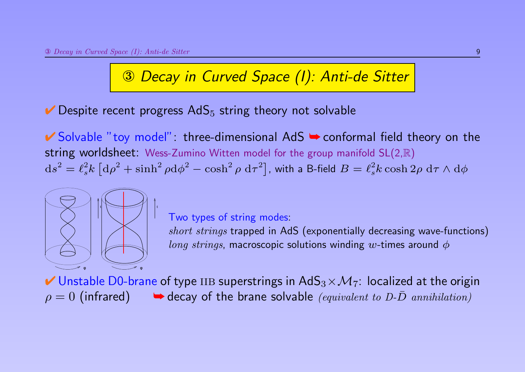$\vee$  Despite recent progress AdS<sub>5</sub> string theory not solvable

t

✔ Solvable "toy model": three-dimensional AdS ➥ conformal field theory on the string worldsheet: Wess-Zumino Witten model for the group manifold SL(2,R)  $\mathrm{d} s^2 = \ell_s^2 k \left[ \mathrm{d} \rho^2 + \sinh^2{\rho} \mathrm{d} \phi^2 - \cosh^2{\rho} \ \mathrm{d} \tau^2 \right]$ , with a B-field  $B = \ell_s^2 k \cosh 2\rho \ \mathrm{d} \tau \wedge \mathrm{d} \phi$ 



#### Two types of string modes:

short strings trapped in AdS (exponentially decreasing wave-functions) *long strings*, macroscopic solutions winding w-times around  $\phi$ 

 $\blacktriangleright$  Unstable D0-brane of type IIB superstrings in AdS $_3\times\mathcal{M}_7$ : localized at the origin  $\rho = 0$  (infrared)  $\rightarrow$  decay of the brane solvable *(equivalent to D-D* annihilation)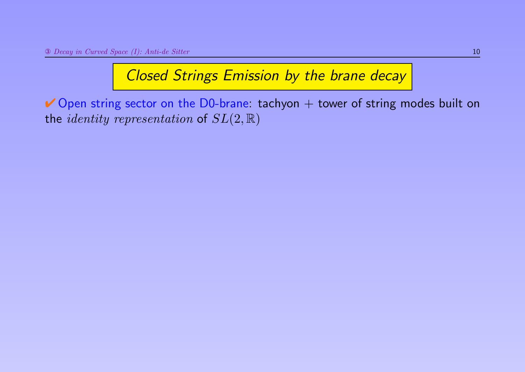# Closed Strings Emission by the brane decay

 $\vee$  Open string sector on the D0-brane: tachyon  $+$  tower of string modes built on the *identity representation* of  $SL(2,\mathbb{R})$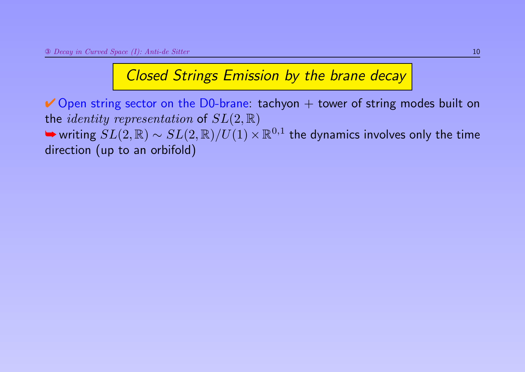### Closed Strings Emission by the brane decay

 $\vee$  Open string sector on the D0-brane: tachyon  $+$  tower of string modes built on the *identity representation* of  $SL(2,\mathbb{R})$ → writing  $SL(2,\mathbb{R})\sim SL(2,\mathbb{R})/U(1)\times \mathbb{R}^{0,1}$  the dynamics involves only the time direction (up to an orbifold)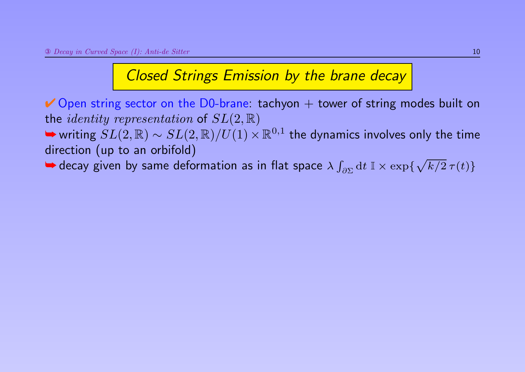### Closed Strings Emission by the brane decay

 $\vee$  Open string sector on the D0-brane: tachyon  $+$  tower of string modes built on the *identity representation* of  $SL(2,\mathbb{R})$ 

→ writing  $SL(2,\mathbb{R})\sim SL(2,\mathbb{R})/U(1)\times \mathbb{R}^{0,1}$  the dynamics involves only the time direction (up to an orbifold)

 $\blacktriangleright$  decay given by same deformation as in flat space  $\lambda \int_{\partial \Sigma} \mathrm{d} t \; \mathbb{I} \times \exp \{ \sqrt{k/2} \, \tau(t) \}$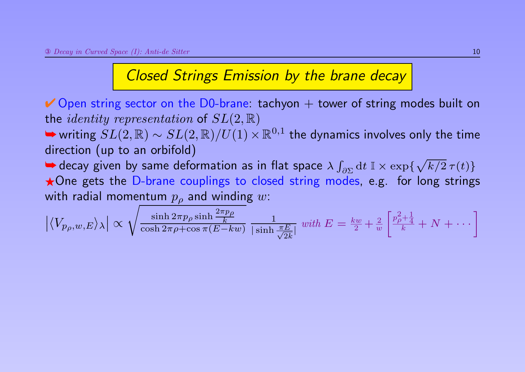## Closed Strings Emission by the brane decay

 $\vee$  Open string sector on the D0-brane: tachyon  $+$  tower of string modes built on the *identity representation* of  $SL(2,\mathbb{R})$ 

→ writing  $SL(2,\mathbb{R})\sim SL(2,\mathbb{R})/U(1)\times \mathbb{R}^{0,1}$  the dynamics involves only the time direction (up to an orbifold)

 $\blacktriangleright$  decay given by same deformation as in flat space  $\lambda \int_{\partial \Sigma} \mathrm{d} t \; \mathbb{I} \times \exp \{ \sqrt{k/2} \, \tau(t) \}$ ★One gets the D-brane couplings to closed string modes, e.g. for long strings with radial momentum  $p<sub>o</sub>$  and winding w:

$$
\left| \langle V_{p_{\rho},w,E} \rangle_{\lambda} \right| \propto \sqrt{\frac{\sinh 2\pi p_{\rho} \sinh \frac{2\pi p_{\rho}}{k}}{\cosh 2\pi \rho + \cos \pi (E - kw)}} \frac{1}{|\sinh \frac{\pi E}{\sqrt{2k}}|} \text{ with } E = \frac{kw}{2} + \frac{2}{w} \left[ \frac{p_{\rho}^2 + \frac{1}{4}}{k} + N + \cdots \right]
$$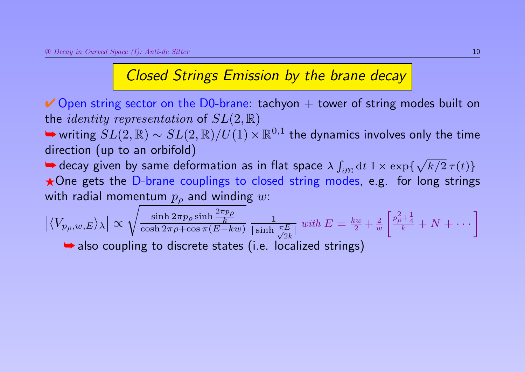# Closed Strings Emission by the brane decay

 $\vee$  Open string sector on the D0-brane: tachyon  $+$  tower of string modes built on the *identity representation* of  $SL(2,\mathbb{R})$ 

→ writing  $SL(2,\mathbb{R})\sim SL(2,\mathbb{R})/U(1)\times \mathbb{R}^{0,1}$  the dynamics involves only the time direction (up to an orbifold)

 $\blacktriangleright$  decay given by same deformation as in flat space  $\lambda \int_{\partial \Sigma} \mathrm{d} t \; \mathbb{I} \times \exp \{ \sqrt{k/2} \, \tau(t) \}$  $\star$  One gets the D-brane couplings to closed string modes, e.g. for long strings with radial momentum  $p<sub>o</sub>$  and winding w:

$$
\left| \langle V_{p_{\rho},w,E} \rangle_{\lambda} \right| \propto \sqrt{\frac{\sinh 2\pi p_{\rho} \sinh \frac{2\pi p_{\rho}}{k}}{\cosh 2\pi \rho + \cos \pi (E - kw)}} \frac{1}{|\sinh \frac{\pi E}{\sqrt{2k}}|} \text{ with } E = \frac{kw}{2} + \frac{2}{w} \left[ \frac{p_{\rho}^2 + \frac{1}{4}}{k} + N + \cdots \right]
$$
  
\n**also coupling to discrete states (i.e. localized strings)**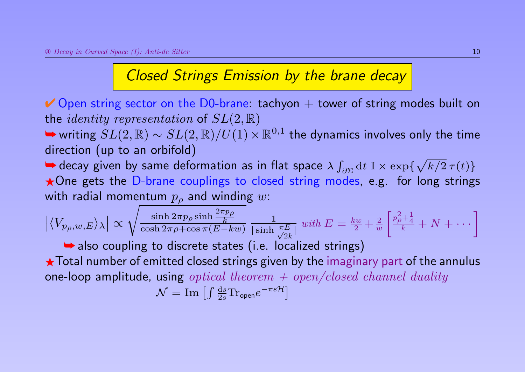### Closed Strings Emission by the brane decay

 $\vee$  Open string sector on the D0-brane: tachyon  $+$  tower of string modes built on the *identity representation* of  $SL(2,\mathbb{R})$ 

→ writing  $SL(2,\mathbb{R})\sim SL(2,\mathbb{R})/U(1)\times \mathbb{R}^{0,1}$  the dynamics involves only the time direction (up to an orbifold)

 $\blacktriangleright$  decay given by same deformation as in flat space  $\lambda \int_{\partial \Sigma} \mathrm{d} t \; \mathbb{I} \times \exp \{ \sqrt{k/2} \, \tau(t) \}$ \*One gets the D-brane couplings to closed string modes, e.g. for long strings with radial momentum  $p<sub>o</sub>$  and winding w:

$$
\left| \langle V_{p_{\rho},w,E} \rangle_{\lambda} \right| \propto \sqrt{\frac{\sinh 2\pi p_{\rho} \sinh \frac{2\pi p_{\rho}}{k}}{\cosh 2\pi \rho + \cos \pi (E - kw)}} \frac{1}{|\sinh \frac{\pi E}{\sqrt{2k}}|} \text{ with } E = \frac{kw}{2} + \frac{2}{w} \left[ \frac{p_{\rho}^2 + \frac{1}{4}}{k} + N + \cdots \right]
$$

**►** also coupling to discrete states (i.e. localized strings)

 $\star$  Total number of emitted closed strings given by the imaginary part of the annulus one-loop amplitude, using *optical theorem*  $+$  *open/closed channel duality* 

$$
\mathcal{N} = \mathrm{Im} \left[ \int \frac{\mathrm{d}s}{2s} \mathrm{Tr}_{\text{open}} e^{-\pi s \mathcal{H}} \right]
$$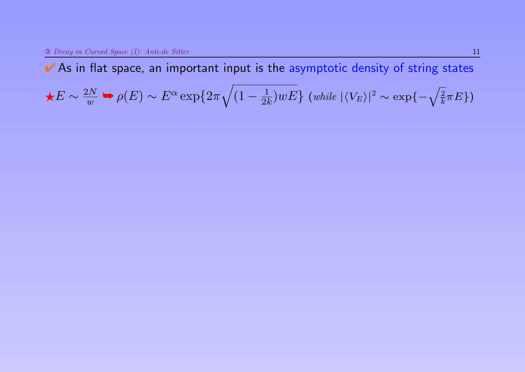↓ As in flat space, an important input is the asymptotic density of string states

$$
\star E \sim \frac{2N}{w} \Rightarrow \rho(E) \sim E^{\alpha} \exp\{2\pi \sqrt{(1 - \frac{1}{2k})wE}\} \text{ (while } |\langle V_E \rangle|^2 \sim \exp\{-\sqrt{\frac{2}{k}\pi E}\}\)
$$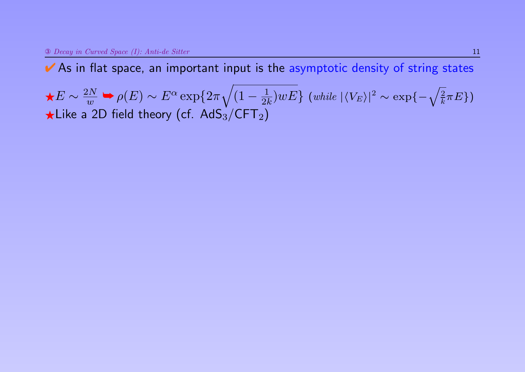$\star E \sim \frac{2N}{w}$  $\frac{2N}{w} \blacktriangleright \rho(E) \sim E^\alpha \exp\{2\pi \sqrt{2\pi}$  $(1 - \frac{1}{2l})$  $\frac{1}{2k})wE\}$  (while  $|\langle V_E\rangle|^2 \sim \exp\{-\sqrt{\frac{2}{k}}\pi E\})$  $\star$ Like a 2D field theory (cf. AdS<sub>3</sub>/CFT<sub>2</sub>)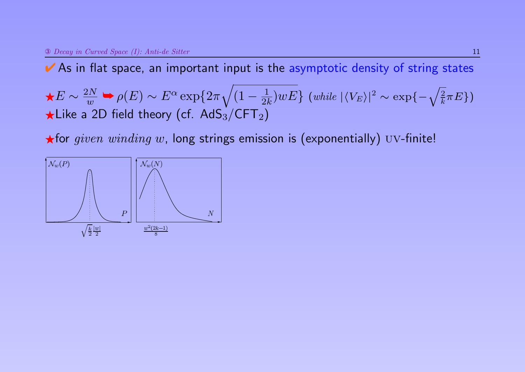↓ As in flat space, an important input is the asymptotic density of string states

 $\star E \sim \frac{2N}{w}$  $\frac{2N}{w} \blacktriangleright \rho(E) \sim E^\alpha \exp\{2\pi \sqrt{2\pi}$  $(1 - \frac{1}{2l})$  $\frac{1}{2k})wE\}$  (while  $|\langle V_E\rangle|^2 \sim \exp\{-\sqrt{\frac{2}{k}}\pi E\})$  $\star$ Like a 2D field theory (cf. AdS<sub>3</sub>/CFT<sub>2</sub>)

 $\star$  for given winding w, long strings emission is (exponentially) UV-finite!

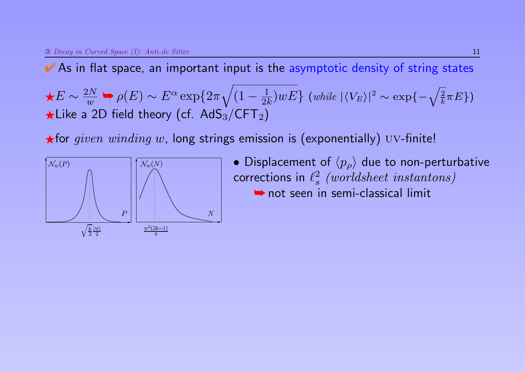$\star E \sim \frac{2N}{w}$  $\frac{2N}{w} \blacktriangleright \rho(E) \sim E^\alpha \exp\{2\pi \sqrt{2\pi}$  $(1 - \frac{1}{2l})$  $\frac{1}{2k})wE\}$  (while  $|\langle V_E\rangle|^2 \sim \exp\{-\sqrt{\frac{2}{k}}\pi E\})$  $\star$ Like a 2D field theory (cf. AdS<sub>3</sub>/CFT<sub>2</sub>)

 $\star$  for given winding w, long strings emission is (exponentially) UV-finite!



• Displacement of  $\langle p_{\rho} \rangle$  due to non-perturbative corrections in  $\ell_s^2$  $\begin{array}{l} {l} 2 \ \, \textit{(worldsheet\ instantons)} \end{array}$ **►** not seen in semi-classical limit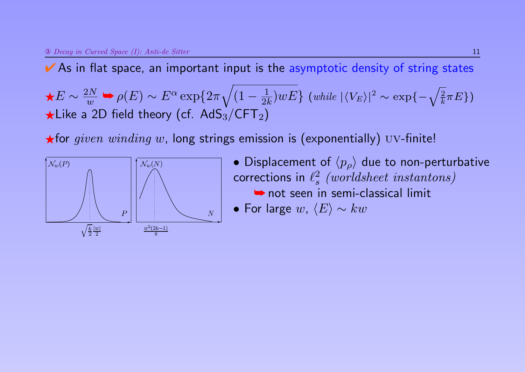$\star E \sim \frac{2N}{w}$  $\frac{2N}{w} \blacktriangleright \rho(E) \sim E^\alpha \exp\{2\pi \sqrt{2\pi}$  $(1 - \frac{1}{2l})$  $\frac{1}{2k})wE\}$  (while  $|\langle V_E\rangle|^2 \sim \exp\{-\sqrt{\frac{2}{k}}\pi E\})$  $\star$ Like a 2D field theory (cf. AdS<sub>3</sub>/CFT<sub>2</sub>)

 $\star$  for given winding w, long strings emission is (exponentially) UV-finite!



- Displacement of  $\langle p_{\rho} \rangle$  due to non-perturbative corrections in  $\ell_s^2$  $\begin{array}{l} {l} 2 \ \, \textit{(worldsheet\ instantons)} \end{array}$ **►** not seen in semi-classical limit
- For large  $w$ ,  $\langle E \rangle \sim kw$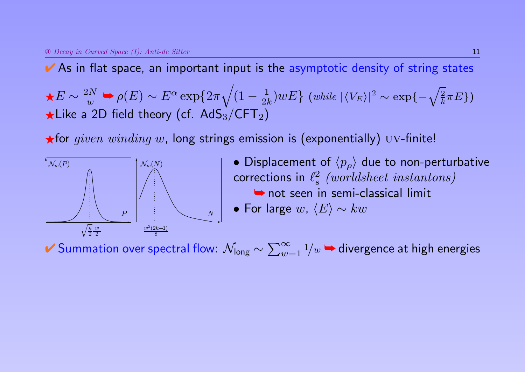$\star E \sim \frac{2N}{w}$  $\frac{2N}{w} \blacktriangleright \rho(E) \sim E^\alpha \exp\{2\pi \sqrt{2\pi}$  $(1 - \frac{1}{2l})$  $\frac{1}{2k})wE\}$  (while  $|\langle V_E\rangle|^2 \sim \exp\{-\sqrt{\frac{2}{k}}\pi E\})$  $\star$ Like a 2D field theory (cf. AdS<sub>3</sub>/CFT<sub>2</sub>)

 $\star$  for given winding w, long strings emission is (exponentially) UV-finite!



• Displacement of  $\langle p_{\rho} \rangle$  due to non-perturbative corrections in  $\ell_s^2$  $\begin{array}{l} {l} 2 \ \, \textit{(worldsheet\ instantons)} \end{array}$ **►** not seen in semi-classical limit • For large  $w$ ,  $\langle E \rangle \sim kw$ 

✔ Summation over spectral flow:  $\mathcal{N}_{\mathsf{long}} \sim \sum_{w=1}^\infty \frac{1}{w}$   $\blacktriangleright$  divergence at high energies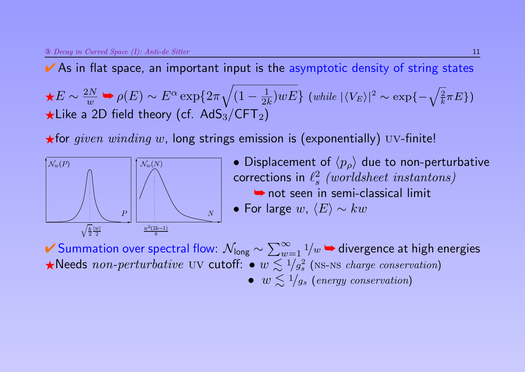$\star E \sim \frac{2N}{w}$  $\frac{2N}{w} \blacktriangleright \rho(E) \sim E^\alpha \exp\{2\pi \sqrt{2\pi}$  $(1 - \frac{1}{2l})$  $\frac{1}{2k})wE\}$  (while  $|\langle V_E\rangle|^2 \sim \exp\{-\sqrt{\frac{2}{k}}\pi E\})$  $\star$ Like a 2D field theory (cf. AdS<sub>3</sub>/CFT<sub>2</sub>)

 $\star$  for given winding w, long strings emission is (exponentially) UV-finite!



• Displacement of  $\langle p_{\rho} \rangle$  due to non-perturbative corrections in  $\ell_s^2$  $\begin{array}{l} {l} 2 \ \, \textit{(worldsheet\ instantons)} \end{array}$ **►** not seen in semi-classical limit • For large  $w, \langle E \rangle \sim kw$ 

✔ Summation over spectral flow:  $\mathcal{N}_{\mathsf{long}} \sim \sum_{w=1}^\infty \frac{1}{w}$   $\blacktriangleright$  divergence at high energies Reeds non-perturbative UV cutoff:  $\bullet w \leq 1/g_s^2$  $\frac{2}{s}$  (NS-NS charge conservation) •  $w \lesssim 1/g_s$  (energy conservation)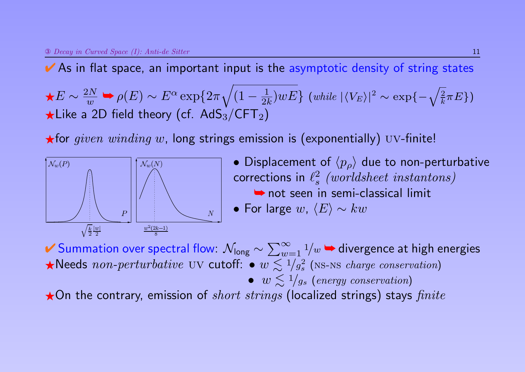$\star E \sim \frac{2N}{w}$  $\frac{2N}{w} \blacktriangleright \rho(E) \sim E^\alpha \exp\{2\pi \sqrt{2\pi}$  $(1 - \frac{1}{2l})$  $\frac{1}{2k})wE\}$  (while  $|\langle V_E\rangle|^2 \sim \exp\{-\sqrt{\frac{2}{k}}\pi E\})$  $\star$ Like a 2D field theory (cf. AdS<sub>3</sub>/CFT<sub>2</sub>)

 $\star$  for given winding w, long strings emission is (exponentially) UV-finite!



• Displacement of  $\langle p_{\rho} \rangle$  due to non-perturbative corrections in  $\ell_s^2$  $\begin{array}{l} {l} 2 \ \, \textit{(worldsheet\ instantons)} \end{array}$ **►** not seen in semi-classical limit • For large  $w, \langle E \rangle \sim kw$ 

✔ Summation over spectral flow:  $\mathcal{N}_{\mathsf{long}} \sim \sum_{w=1}^\infty \frac{1}{w}$   $\blacktriangleright$  divergence at high energies Reeds non-perturbative UV cutoff:  $\bullet w \leq 1/g_s^2$  $\frac{2}{s}$  (NS-NS charge conservation) •  $w \lesssim 1/g_s$  (energy conservation)  $\star$ On the contrary, emission of *short strings* (localized strings) stays *finite*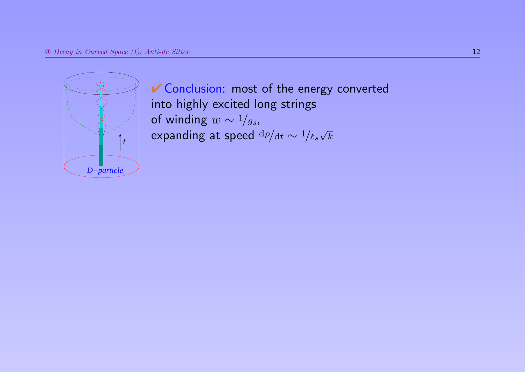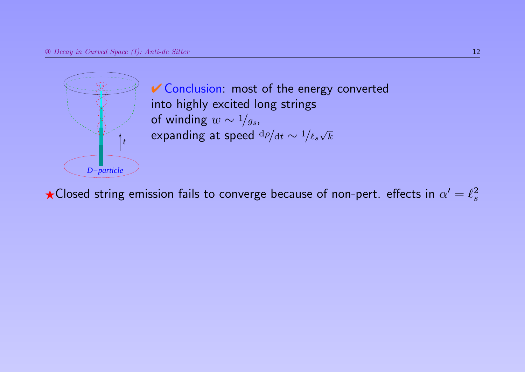

 $\bigstar$ Closed string emission fails to converge because of non-pert. effects in  $\alpha' = \ell_s^2$ s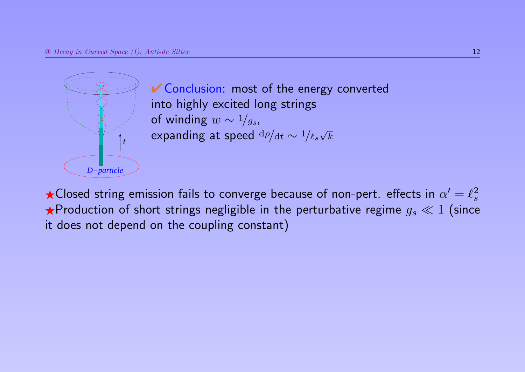

 $\bigstar$ Closed string emission fails to converge because of non-pert. effects in  $\alpha' = \ell_s^2$ s  $\star$ Production of short strings negligible in the perturbative regime  $g_s \ll 1$  (since it does not depend on the coupling constant)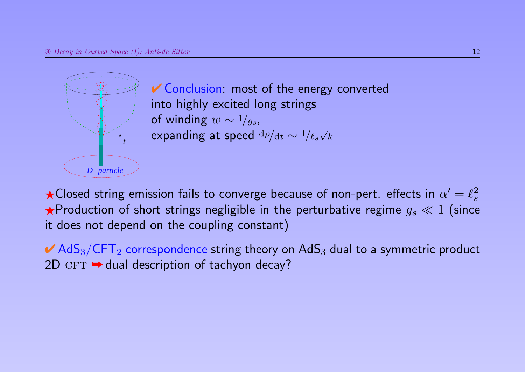

 $\bigstar$ Closed string emission fails to converge because of non-pert. effects in  $\alpha' = \ell_s^2$ s  $\star$ Production of short strings negligible in the perturbative regime  $g_s \ll 1$  (since it does not depend on the coupling constant)

 $\blacktriangleright$  AdS<sub>3</sub>/CFT<sub>2</sub> correspondence string theory on AdS<sub>3</sub> dual to a symmetric product  $2D$  CFT  $\rightarrow$  dual description of tachyon decay?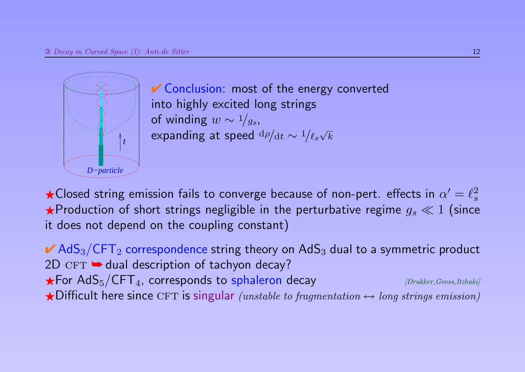

 $\bigstar$ Closed string emission fails to converge because of non-pert. effects in  $\alpha' = \ell_s^2$ s  $\star$ Production of short strings negligible in the perturbative regime  $g_s \ll 1$  (since it does not depend on the coupling constant)

 $\blacktriangleright$  AdS<sub>3</sub>/CFT<sub>2</sub> correspondence string theory on AdS<sub>3</sub> dual to a symmetric product  $2D$  CFT  $\rightarrow$  dual description of tachyon decay?  $\bigstar$  For AdS<sub>5</sub>/CFT<sub>4</sub>, corresponds to sphaleron decay *[Drukker, Gross,Itzhaki]*  $\bigstar$ Difficult here since CFT is singular (unstable to fragmentation  $\leftrightarrow$  long strings emission)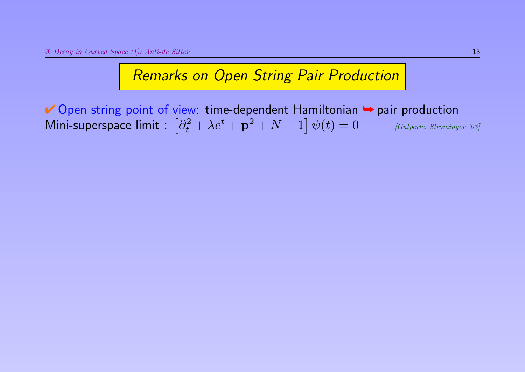◆ Open string point of view: time-dependent Hamiltonian → pair production Mini-superspace limit  $\colon \left[\partial_t^2 + \lambda e^t + \mathbf{p}^2 + N - 1\right]$  $[Gutperle, Strominger'03]$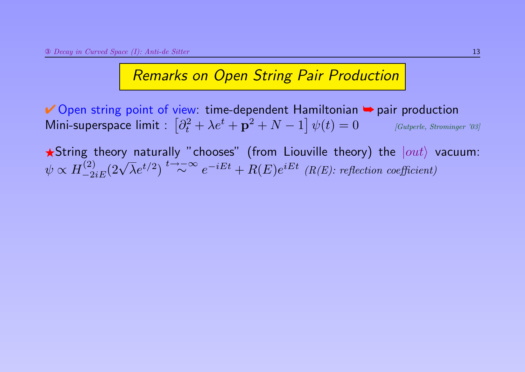◆ Open string point of view: time-dependent Hamiltonian → pair production Mini-superspace limit  $\colon \left[\partial_t^2 + \lambda e^t + \mathbf{p}^2 + N - 1\right]$  $[Gutperle, Strominger' 03]$ 

 $\bigstar$ String theory naturally "chooses" (from Liouville theory) the  $|out\rangle$  vacuum:  $\psi \propto H_{-2e}^{(2)}$  $\frac{1}{2}$  (2)  $\sqrt{\lambda}e^{t/2}$   $\int_{-\frac{2iE}{\lambda}}^{\frac{1}{2}}$   $\frac{1}{2}$   $\sim$   $\infty$   $e^{-iEt}$  +  $R(E)e^{iEt}$  (R(E): reflection coefficient)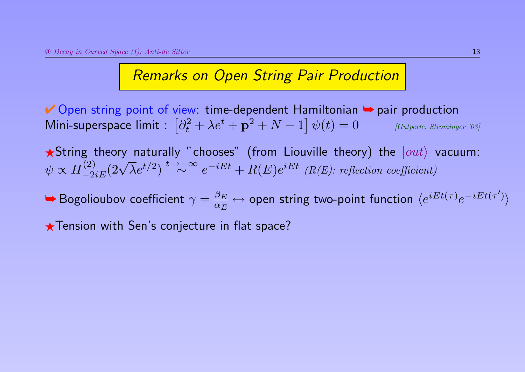◆ Open string point of view: time-dependent Hamiltonian → pair production Mini-superspace limit  $\colon \left[\partial_t^2 + \lambda e^t + \mathbf{p}^2 + N - 1\right]$  $[Gutperle, Strominger'03]$ 

 $\bigstar$ String theory naturally "chooses" (from Liouville theory) the  $|out\rangle$  vacuum:  $\psi \propto H_{-2e}^{(2)}$  $\frac{1}{2}$  (2)  $\sqrt{\lambda}e^{t/2}$   $\int_{-\frac{2iE}{\lambda}}^{\frac{1}{2}}$   $\frac{1}{2}$   $\sim$   $\infty$   $e^{-iEt}$  +  $R(E)e^{iEt}$  (R(E): reflection coefficient)

 $\blacktriangleright$  Bogolioubov coefficient  $\gamma = \frac{\beta_E}{\alpha_E}$  $\alpha_E$  $\leftrightarrow$  open string two-point function  $\langle e^{iEt(\tau)}e^{-iEt(\tau')} \rangle$ 

 $\star$  Tension with Sen's conjecture in flat space?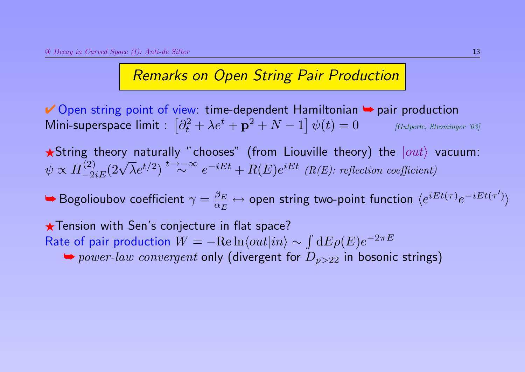◆ Open string point of view: time-dependent Hamiltonian → pair production Mini-superspace limit  $\colon \left[\partial_t^2 + \lambda e^t + \mathbf{p}^2 + N - 1\right]$  $[Gutperle, Strominear'03]$ 

 $\bigstar$ String theory naturally "chooses" (from Liouville theory) the  $|out\rangle$  vacuum:  $\psi \propto H_{-2e}^{(2)}$  $\frac{1}{2}$  (2)  $\sqrt{\lambda}e^{t/2}$   $\int_{-\frac{2iE}{\lambda}}^{\frac{1}{2}}$   $\frac{1}{2}$   $\sim$   $\infty$   $e^{-iEt}$  +  $R(E)e^{iEt}$  (R(E): reflection coefficient)

 $\blacktriangleright$  Bogolioubov coefficient  $\gamma = \frac{\beta_E}{\alpha_E}$  $\alpha_E$  $\leftrightarrow$  open string two-point function  $\langle e^{iEt(\tau)}e^{-iEt(\tau')} \rangle$ 

 $\star$  Tension with Sen's conjecture in flat space? Rate of pair production  $W = -\mathrm{Re} \ln \langle out|in \rangle \sim \int \mathrm{d}E \rho(E) e^{-2\pi E}$  $\rightarrow power-law$  convergent only (divergent for  $D_{p>22}$  in bosonic strings)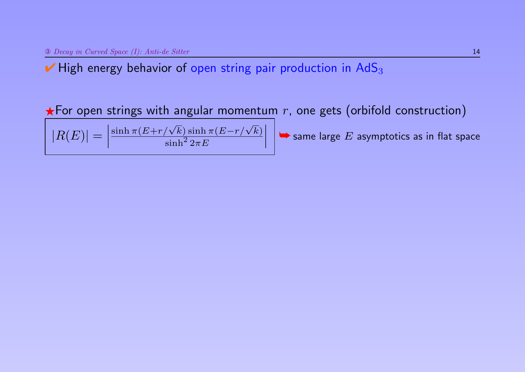$\blacktriangleright$  High energy behavior of open string pair production in AdS<sub>3</sub>

 $\star$  For open strings with angular momentum r, one gets (orbifold construction)

 $|R(E)| =$  $\overline{\phantom{a}}$  $\overline{\phantom{a}}$  $\vert$  $\sinh\pi(E\!+\!r/\sqrt{k})\sinh\pi(E\!-\!r/\sqrt{k})$  $\sinh^2 2\pi E$  $\overline{\phantom{a}}$  $\overline{\phantom{a}}$  $\vert$ 

 $\blacktriangleright$  same large  $E$  asymptotics as in flat space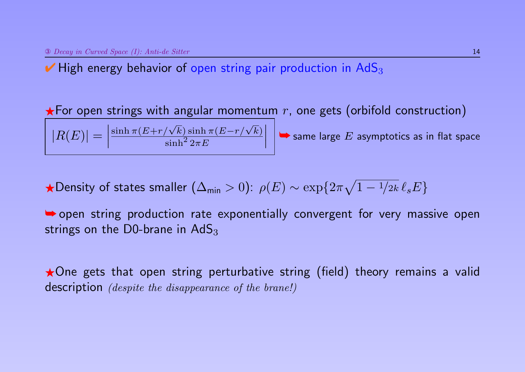$\overline{\phantom{a}}$  $\overline{\phantom{a}}$  $\vert$ 

 $|R(E)| =$ 

 $\blacktriangleright$  High energy behavior of open string pair production in AdS<sub>3</sub>

 $\sinh\pi(E\!+\!r/\sqrt{k})\sinh\pi(E\!-\!r/\sqrt{k})$ 

 $\sinh^2 2\pi E$ 

 $\star$  For open strings with angular momentum r, one gets (orbifold construction)

 $\overline{\phantom{a}}$  $\overline{\phantom{a}}$  $\vert$ 

 $\blacktriangleright$  same large  $E$  asymptotics as in flat space

★Density of states smaller 
$$
(\Delta_{\min} > 0)
$$
:  $\rho(E) \sim \exp\{2\pi\sqrt{1 - \frac{1}{2k}} \ell_s E\}$ 

➥ open string production rate exponentially convergent for very massive open strings on the D0-brane in  $AdS_3$ 

 $\star$  One gets that open string perturbative string (field) theory remains a valid description *(despite the disappearance of the brane!)*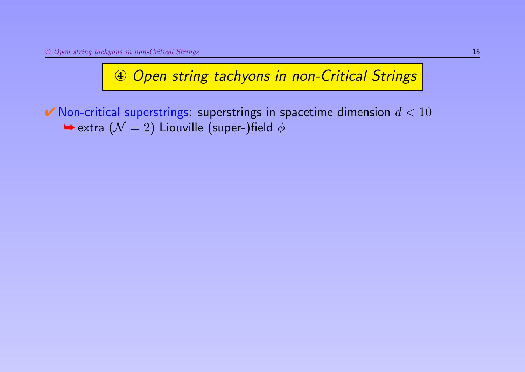$\blacktriangleright$  Non-critical superstrings: superstrings in spacetime dimension  $d < 10$  $\blacktriangleright$  extra  $(\mathcal{N} = 2)$  Liouville (super-)field  $\phi$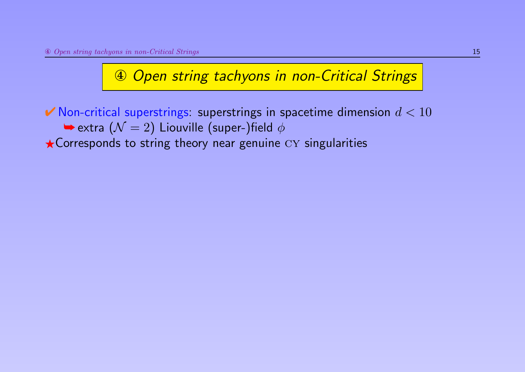$\blacktriangleright$  Non-critical superstrings: superstrings in spacetime dimension  $d < 10$  $\blacktriangleright$  extra  $(\mathcal{N}=2)$  Liouville (super-)field  $\phi$  $\star$  Corresponds to string theory near genuine  $CY$  singularities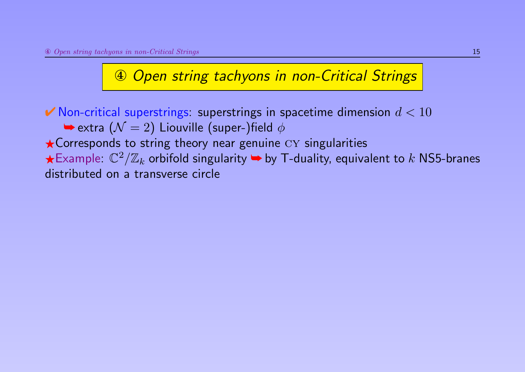$\blacktriangleright$  Non-critical superstrings: superstrings in spacetime dimension  $d < 10$  $\blacktriangleright$  extra  $(\mathcal{N}=2)$  Liouville (super-)field  $\phi$  $\star$  Corresponds to string theory near genuine  $CY$  singularities  $\bigstar$ Example:  $\mathbb{C}^2/\mathbb{Z}_k$  orbifold singularity  $\blacktriangleright$  by T-duality, equivalent to  $k$  NS5-branes distributed on a transverse circle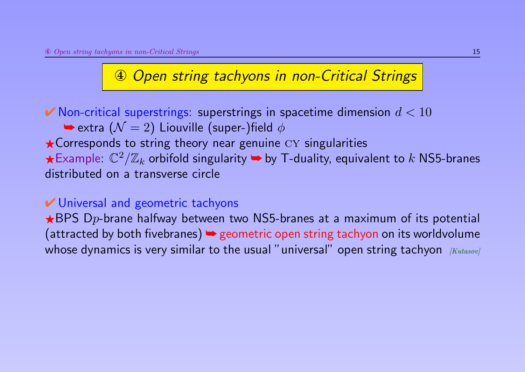$\blacktriangleright$  Non-critical superstrings: superstrings in spacetime dimension  $d < 10$  $\blacktriangleright$  extra  $(\mathcal{N} = 2)$  Liouville (super-)field  $\phi$  $\star$  Corresponds to string theory near genuine  $CY$  singularities  $\bigstar$ Example:  $\mathbb{C}^2/\mathbb{Z}_k$  orbifold singularity  $\blacktriangleright$  by T-duality, equivalent to  $k$  NS5-branes distributed on a transverse circle

#### **► Universal and geometric tachyons**

 $\star$ BPS Dp-brane halfway between two NS5-branes at a maximum of its potential (attracted by both fivebranes)  $\rightarrow$  geometric open string tachyon on its worldvolume whose dynamics is very similar to the usual "universal" open string tachyon  $Kutasov$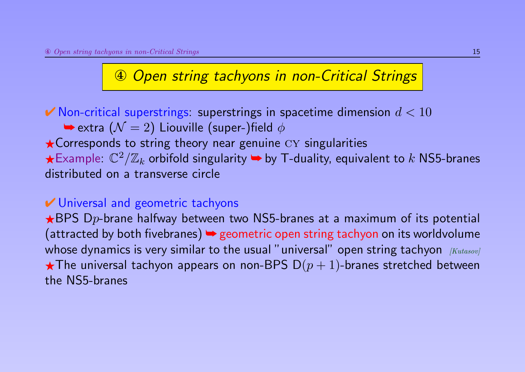$\blacktriangleright$  Non-critical superstrings: superstrings in spacetime dimension  $d < 10$  $\blacktriangleright$  extra  $(\mathcal{N} = 2)$  Liouville (super-)field  $\phi$  $\star$  Corresponds to string theory near genuine  $CY$  singularities  $\bigstar$ Example:  $\mathbb{C}^2/\mathbb{Z}_k$  orbifold singularity  $\blacktriangleright$  by T-duality, equivalent to  $k$  NS5-branes distributed on a transverse circle

#### **► Universal and geometric tachyons**

 $\star$ BPS Dp-brane halfway between two NS5-branes at a maximum of its potential (attracted by both fivebranes)  $\rightarrow$  geometric open string tachyon on its worldvolume whose dynamics is very similar to the usual "universal" open string tachyon  $Kutasov$  $\star$ The universal tachyon appears on non-BPS D $(p+1)$ -branes stretched between the NS5-branes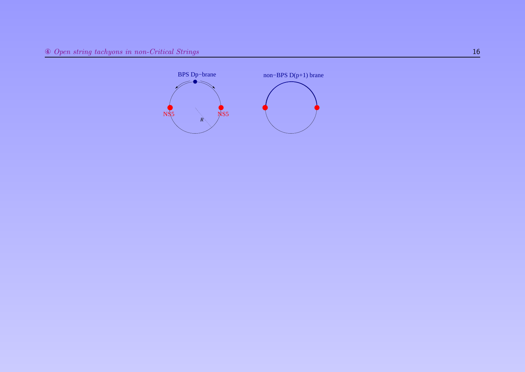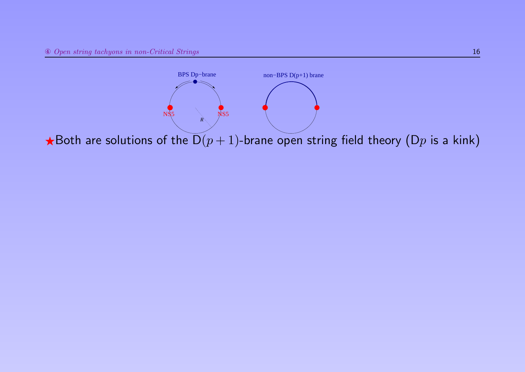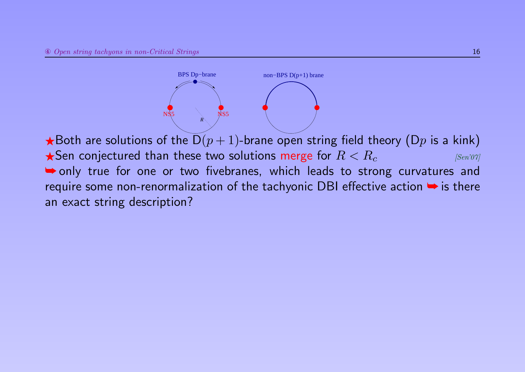$NS5$  NS5 BPS Dp−brane non−BPS D(p+1) brane  $R_{\odot}$ 

 $\bigstar$ Both are solutions of the  $D(p+1)$ -brane open string field theory (Dp is a kink)  $\bigstar$ Sen conjectured than these two solutions merge for  $R < R_c$  [Sen'07] **► only true for one or two fivebranes, which leads to strong curvatures and** require some non-renormalization of the tachyonic DBI effective action  $\rightarrow$  is there an exact string description?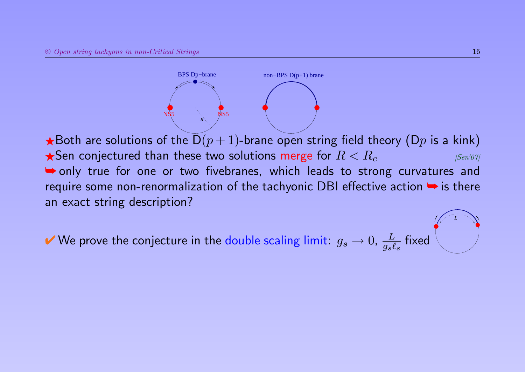$NS5$  NS5 BPS Dp−brane non−BPS D(p+1) brane  $R_{\odot}$ 

 $\bigstar$ Both are solutions of the  $D(p+1)$ -brane open string field theory (Dp is a kink)  $\bigstar$ Sen conjectured than these two solutions merge for  $R < R_c$  [Sen'07] ➥ only true for one or two fivebranes, which leads to strong curvatures and require some non-renormalization of the tachyonic DBI effective action → is there an exact string description?

✔ We prove the conjecture in the double scaling limit:  $g_s \to 0$ ,  $\frac{L}{g_s \ell}$  $\frac{L}{g_s \ell_s}$  fixed *L*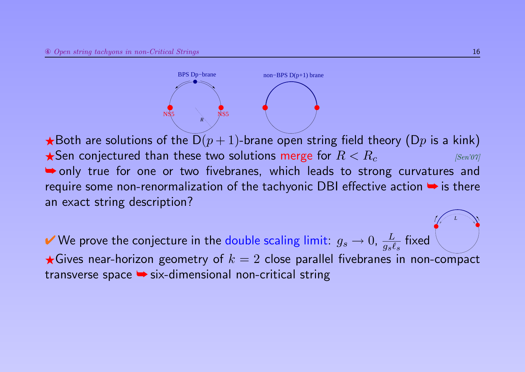$NS5$  NS5 BPS Dp–brane non−BPS D(p+1) brane  $R_{\odot}$ 

 $\bigstar$ Both are solutions of the  $D(p+1)$ -brane open string field theory (Dp is a kink)  $\bigstar$ Sen conjectured than these two solutions merge for  $R < R_c$  [Sen'07] **► only true for one or two fivebranes, which leads to strong curvatures and** require some non-renormalization of the tachyonic DBI effective action  $\rightarrow$  is there an exact string description?

✔ We prove the conjecture in the double scaling limit:  $g_s \to 0$ ,  $\frac{L}{g_s \ell}$  $\frac{L}{g_s \ell_s}$  fixed  $\bigstar$ Gives near-horizon geometry of  $k = 2$  close parallel fivebranes in non-compact transverse space ➥ six-dimensional non-critical string

*L*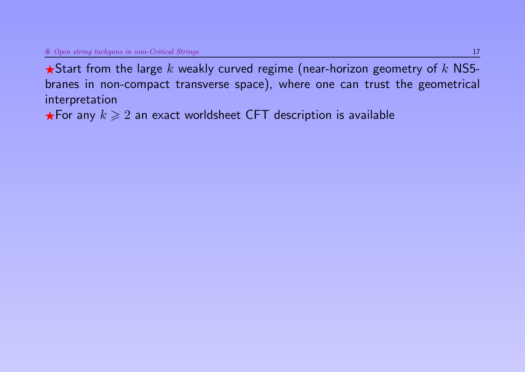$\bigstar$ Start from the large  $k$  weakly curved regime (near-horizon geometry of  $k$  NS5branes in non-compact transverse space), where one can trust the geometrical interpretation

 $\star$  For any  $k \geqslant 2$  an exact worldsheet CFT description is available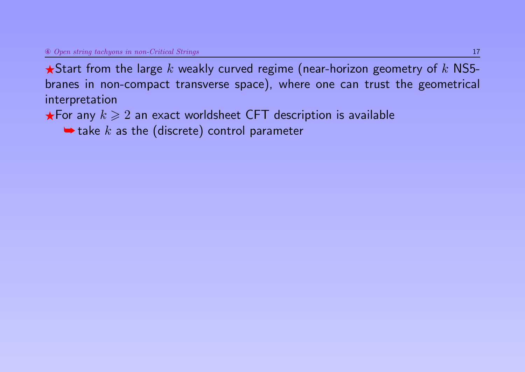$\bigstar$ Start from the large k weakly curved regime (near-horizon geometry of k NS5branes in non-compact transverse space), where one can trust the geometrical interpretation

 $\star$  For any  $k \geqslant 2$  an exact worldsheet CFT description is available

 $\blacktriangleright$  take k as the (discrete) control parameter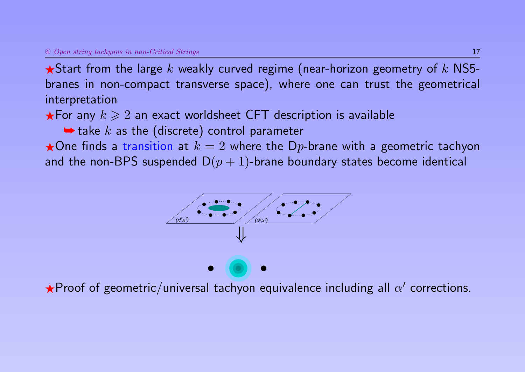$\bigstar$ Start from the large  $k$  weakly curved regime (near-horizon geometry of  $k$  NS5branes in non-compact transverse space), where one can trust the geometrical interpretation

 $\star$  For any  $k \geqslant 2$  an exact worldsheet CFT description is available

 $\blacktriangleright$  take k as the (discrete) control parameter

 $\star$ One finds a transition at  $k = 2$  where the Dp-brane with a geometric tachyon and the non-BPS suspended  $D(p + 1)$ -brane boundary states become identical



 $\bigstar$ Proof of geometric/universal tachyon equivalence including all  $\alpha'$  corrections.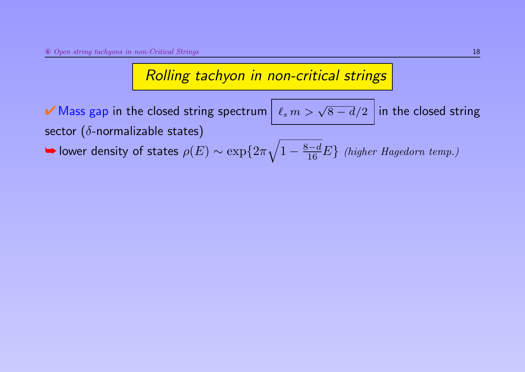Rolling tachyon in non-critical strings

✔ Mass gap in the closed string spectrum  $\boxed{\ell_s \, m > \sqrt{8-d}/2}$  in the closed string sector ( $\delta$ -normalizable states)

 $\blacktriangleright$  lower density of states  $\rho(E) \sim \exp\{2\pi \sqrt{2\pi}$  $1-\frac{8-d}{16}E\}$  (higher Hagedorn temp.)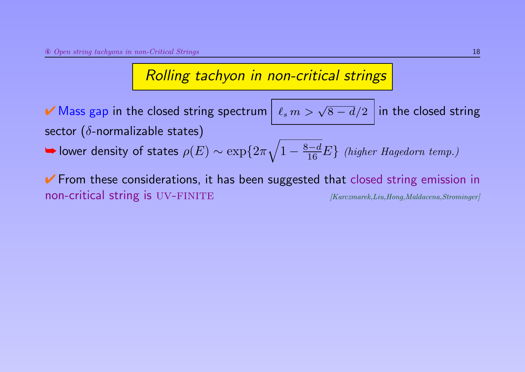Rolling tachyon in non-critical strings

✔ Mass gap in the closed string spectrum  $\boxed{\ell_s \, m > \sqrt{8-d}/2}$  in the closed string sector ( $\delta$ -normalizable states)

 $\blacktriangleright$  lower density of states  $\rho(E) \sim \exp\{2\pi \sqrt{2\pi}$  $1-\frac{8-d}{16}E\}$  (higher Hagedorn temp.)

↓ From these considerations, it has been suggested that closed string emission in non-critical string is UV-FINITE [Karczmarek,Liu,Hong,Maldacena,Strominger]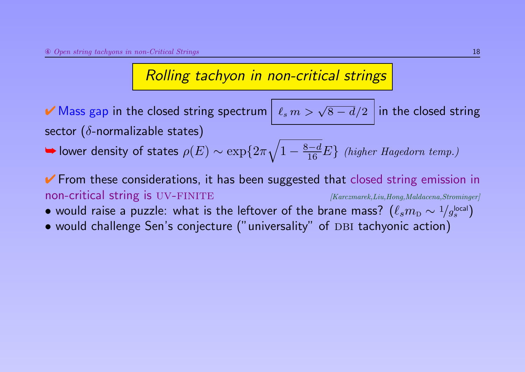### Rolling tachyon in non-critical strings

✔ Mass gap in the closed string spectrum  $\boxed{\ell_s \, m > \sqrt{8-d}/2}$  in the closed string sector ( $\delta$ -normalizable states)

 $\blacktriangleright$  lower density of states  $\rho(E) \sim \exp\{2\pi \sqrt{2\pi}$  $1-\frac{8-d}{16}E\}$  (higher Hagedorn temp.)

↓ From these considerations, it has been suggested that closed string emission in non-critical string is UV-FINITE [Karczmarek,Liu,Hong,Maldacena,Strominger]

- $\bullet$  would raise a puzzle: what is the leftover of the brane mass?  $(\ell_s m_{\rm D} \sim 1/g_s^{\rm local}$  $\genfrac{[}{]}{0pt}{s}$
- would challenge Sen's conjecture ("universality" of DBI tachyonic action)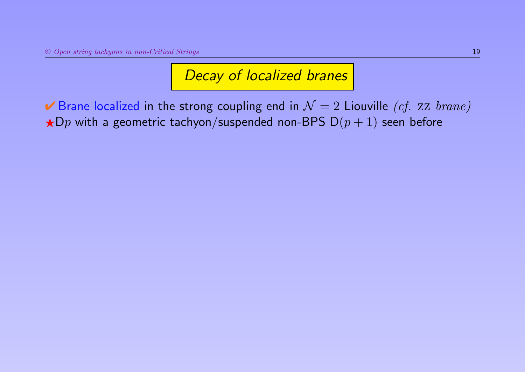► Brane localized in the strong coupling end in  $\mathcal{N}=2$  Liouville (cf. zz brane)  $\star$ Dp with a geometric tachyon/suspended non-BPS D $(p + 1)$  seen before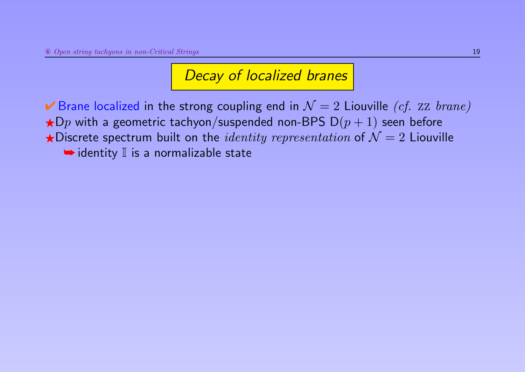► Brane localized in the strong coupling end in  $\mathcal{N}=2$  Liouville (cf. zz brane)  $\bigstar$ Dp with a geometric tachyon/suspended non-BPS D $(p + 1)$  seen before  $\star$ Discrete spectrum built on the *identity representation* of  $\mathcal{N} = 2$  Liouville  $\rightarrow$  identity  $\mathbb I$  is a normalizable state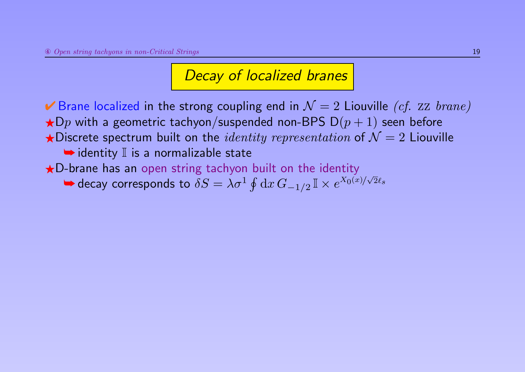► Brane localized in the strong coupling end in  $\mathcal{N}=2$  Liouville *(cf. zz brane)*  $\bigstar$ Dp with a geometric tachyon/suspended non-BPS D $(p+1)$  seen before  $\star$ Discrete spectrum built on the *identity representation* of  $\mathcal{N} = 2$  Liouville  $\rightarrow$  identity  $\mathbb I$  is a normalizable state  $\bigstar$ D-brane has an open string tachyon built on the identity

 $\blacktriangleright$  decay corresponds to  $\delta S = \lambda \sigma^1 \oint \mathrm{d}x \, G_{-1/2} \mathbb{I} \times e^{X_0(x)/\sigma}$ √  $2\ell_{\boldsymbol{s}}$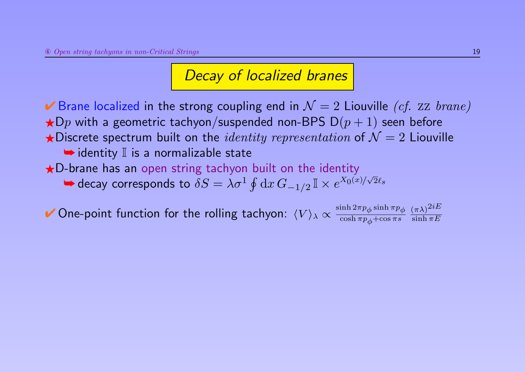► Brane localized in the strong coupling end in  $\mathcal{N}=2$  Liouville *(cf. zz brane)*  $\bigstar$ Dp with a geometric tachyon/suspended non-BPS D $(p + 1)$  seen before  $\bigstar$ Discrete spectrum built on the *identity representation* of  $\mathcal{N}=2$  Liouville  $\rightarrow$  identity  $\mathbb I$  is a normalizable state  $\bigstar$ D-brane has an open string tachyon built on the identity √

► decay corresponds to 
$$
\delta S = \lambda \sigma^1 \oint dx \, G_{-1/2} \mathbb{I} \times e^{X_0(x)/\sqrt{2}\ell_s}
$$

 $\blacktriangleright$  One-point function for the rolling tachyon:  $\langle V \rangle_{\lambda} \propto \frac{\sinh 2\pi p_{\phi} \sinh \pi p_{\phi}}{\cosh \pi p_{\phi} + \cos \pi s}$  $\cosh\pi p_\phi{+}\cos\pi s$  $(\pi\lambda)^{2iE}$  $\sinh \pi E$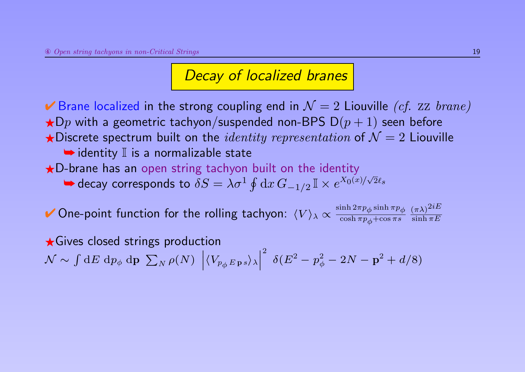► Brane localized in the strong coupling end in  $\mathcal{N}=2$  Liouville *(cf. zz brane)*  $\bigstar$ Dp with a geometric tachyon/suspended non-BPS D $(p+1)$  seen before  $\star$  Discrete spectrum built on the *identity representation* of  $\mathcal{N} = 2$  Liouville  $\rightarrow$  identity  $\mathbb I$  is a normalizable state

 $\bigstar$ D-brane has an open string tachyon built on the identity

 $\blacktriangleright$  decay corresponds to  $\delta S = \lambda \sigma^1 \oint \mathrm{d}x \, G_{-1/2} \mathbb{I} \times e^{X_0(x)/\sigma}$ √  $2\ell_{\boldsymbol{s}}$ 

 $\blacktriangleright$  One-point function for the rolling tachyon:  $\langle V \rangle_{\lambda} \propto \frac{\sinh 2\pi p_{\phi} \sinh \pi p_{\phi}}{\cosh \pi p_{\phi} + \cos \pi s}$  $\cosh\pi p_\phi{+}\cos\pi s$  $(\pi\lambda)^{2iE}$  $\sinh \pi E$ 

 $\star$  Gives closed strings production  $\mathcal{N} \sim \int \mathrm{d} E \; \mathrm{d} p_\phi \; \mathrm{d} \mathbf{p} \; \sum_N \rho(N) \; \; \bigg| \;$  $\Big|\langle V_{p_\phi\,E\,\mathbf{p}\,s}\rangle_\lambda\Big|$  $\frac{1}{2}$  $\vert$ 2  $\delta(E^2-p_{\phi}^2-2N-{\bf p}^2+d/8)$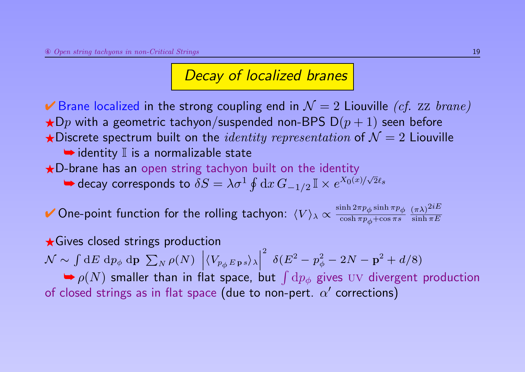► Brane localized in the strong coupling end in  $\mathcal{N}=2$  Liouville *(cf. zz brane)*  $\bigstar$ Dp with a geometric tachyon/suspended non-BPS D $(p + 1)$  seen before  $\star$  Discrete spectrum built on the *identity representation* of  $\mathcal{N} = 2$  Liouville  $\rightarrow$  identity  $\mathbb I$  is a normalizable state

 $\bigstar$ D-brane has an open string tachyon built on the identity

 $\blacktriangleright$  decay corresponds to  $\delta S = \lambda \sigma^1 \oint \mathrm{d}x \, G_{-1/2} \mathbb{I} \times e^{X_0(x)/\sigma}$ √  $2\ell_{\boldsymbol{s}}$ 

 $\blacktriangleright$  One-point function for the rolling tachyon:  $\langle V \rangle_{\lambda} \propto \frac{\sinh 2\pi p_{\phi} \sinh \pi p_{\phi}}{\cosh \pi p_{\phi} + \cos \pi s}$  $\cosh\pi p_\phi{+}\cos\pi s$  $(\pi\lambda)^{2iE}$  $\sinh \pi E$ 

 $\star$  Gives closed strings production  $\mathcal{N} \sim \int \mathrm{d} E \; \mathrm{d} p_\phi \; \mathrm{d} \mathbf{p} \; \sum_N \rho(N) \; \; \bigg| \;$  $\Big|\langle V_{p_\phi\, E\, \mathbf{p}\, s}\rangle_\lambda\Big|$  $\frac{1}{2}$ ˛ 2  $\delta(E^2-p_{\phi}^2-2N-{\bf p}^2+d/8)$  $\blacktriangleright \rho(N)$  smaller than in flat space, but  $\int \mathrm{d}p_{\phi}$  gives  $\mathrm{U}\mathrm{V}$  divergent production of closed strings as in flat space (due to non-pert.  $\alpha'$  corrections)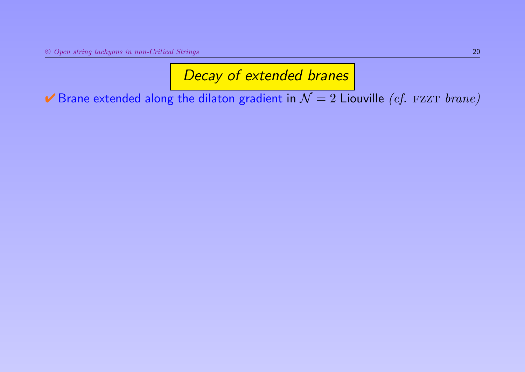Brane extended along the dilaton gradient in  $\mathcal{N}=2$  Liouville (cf. FZZT brane)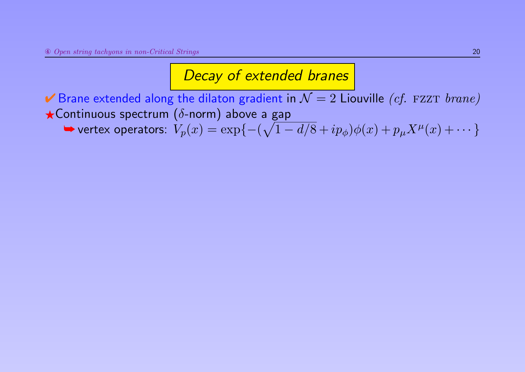Brane extended along the dilaton gradient in  $\mathcal{N}=2$  Liouville (cf. FZZT brane)  $\star$ Continuous spectrum ( $\delta$ -norm) above a gap

 $\blacktriangleright$  vertex operators:  $V_p(x) = \exp\{- (\sqrt{1-d/8} + ip_\phi)\phi(x) + p_\mu X^\mu(x) + \cdots \}$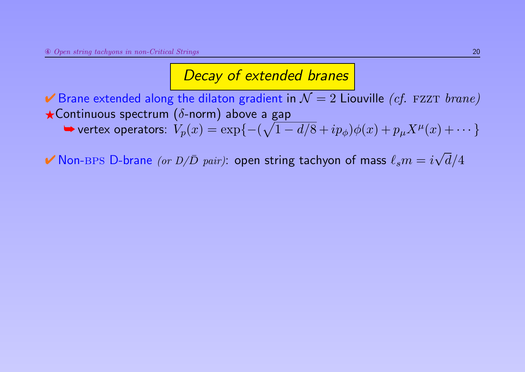► Brane extended along the dilaton gradient in  $\mathcal{N}=2$  Liouville *(cf. FZZT brane)*  $\star$ Continuous spectrum ( $\delta$ -norm) above a gap  $\blacktriangleright$  vertex operators:  $V_p(x) = \exp\{- (\sqrt{1-d/8} + ip_\phi)\phi(x) + p_\mu X^\mu(x) + \cdots \}$ 

 $\blacktriangledown$  Non-BPS D-brane (or  $D/\bar{D}$  pair): open string tachyon of mass  $\ell_s m = i$ √  $d/4$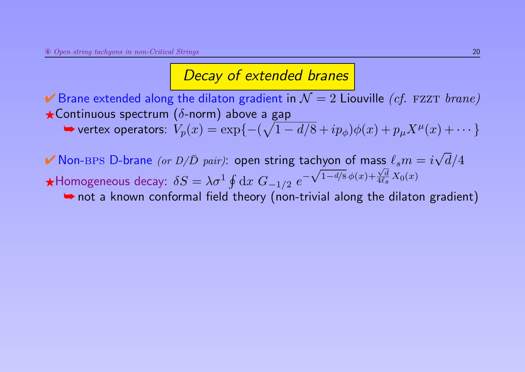► Brane extended along the dilaton gradient in  $\mathcal{N}=2$  Liouville (cf. FZZT brane)  $\star$ Continuous spectrum ( $\delta$ -norm) above a gap

 $\blacktriangleright$  vertex operators:  $V_p(x) = \exp\{- (\sqrt{1-d/8} + ip_\phi)\phi(x) + p_\mu X^\mu(x) + \cdots \}$ 

 $\blacktriangledown$  Non-BPS D-brane (or  $D/\bar{D}$  pair): open string tachyon of mass  $\ell_s m = i$ √  $d/4$  $\bigstar$ Homogeneous decay:  $\delta S = \lambda \sigma^1 \oint \mathrm{d} x \; G_{-1/2} \; e^{-\sqrt{1-d/8}\, \phi(x) + \frac{\sqrt{d}}{4\ell_s}}$ √ √  $\frac{\sqrt{a}}{4\ell_s}X_0(x)$ 

**►** not a known conformal field theory (non-trivial along the dilaton gradient)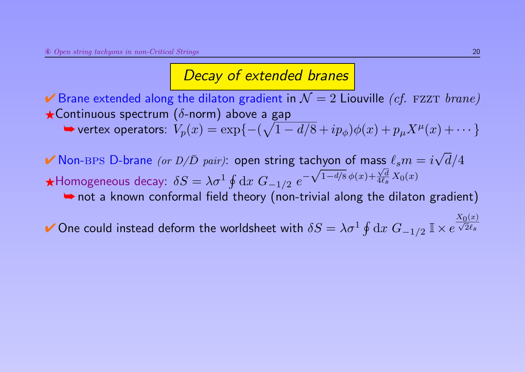► Brane extended along the dilaton gradient in  $\mathcal{N}=2$  Liouville (cf. FZZT brane)  $\star$ Continuous spectrum ( $\delta$ -norm) above a gap

 $\blacktriangleright$  vertex operators:  $V_p(x) = \exp\{- (\sqrt{1-d/8} + ip_\phi)\phi(x) + p_\mu X^\mu(x) + \cdots \}$ 

 $\blacktriangledown$  Non-BPS D-brane (or  $D/\bar{D}$  pair): open string tachyon of mass  $\ell_s m = i$ √  $d/4$  $\bigstar$ Homogeneous decay:  $\delta S = \lambda \sigma^1 \oint \mathrm{d} x \; G_{-1/2} \; e^{-\sqrt{1-d/8}\, \phi(x) + \frac{\sqrt{d}}{4\ell_s}}$ √ √  $\frac{\sqrt{a}}{4\ell_s}X_0(x)$ 

➥ not a known conformal field theory (non-trivial along the dilaton gradient)

✔ One could instead deform the worldsheet with  $\delta S = \lambda \sigma^1 \oint \mathrm{d} x \; G_{-1/2} \; \mathbb{I} \times e^{\frac{1}{2}}$  $\frac{X_0(x)}{f(x)}$  $2\ell_{\boldsymbol{s}}$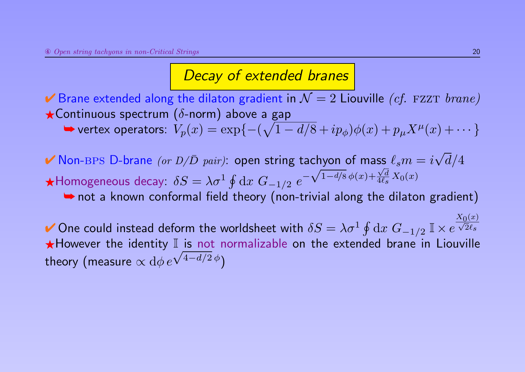► Brane extended along the dilaton gradient in  $\mathcal{N}=2$  Liouville (cf. FZZT brane)  $\star$ Continuous spectrum ( $\delta$ -norm) above a gap

 $\blacktriangleright$  vertex operators:  $V_p(x) = \exp\{- (\sqrt{1-d/8} + ip_\phi)\phi(x) + p_\mu X^\mu(x) + \cdots \}$ 

 $\blacktriangledown$  Non-BPS D-brane (or  $D/\bar{D}$  pair): open string tachyon of mass  $\ell_s m = i$ √  $d/4$  $\bigstar$ Homogeneous decay:  $\delta S = \lambda \sigma^1 \oint \mathrm{d} x \; G_{-1/2} \; e^{-\sqrt{1-d/8}\, \phi(x) + \frac{\sqrt{d}}{4\ell_s}}$ √ √  $\frac{\sqrt{a}}{4\ell_s}X_0(x)$ 

➥ not a known conformal field theory (non-trivial along the dilaton gradient)

✔ One could instead deform the worldsheet with  $\delta S = \lambda \sigma^1 \oint \mathrm{d} x \; G_{-1/2} \; \mathbb{I} \times e^{\frac{1}{2}}$  $\frac{X_0(x)}{f(x)}$  $2\ell_{\boldsymbol{s}}$ ★However the identity II is not normalizable on the extended brane in Liouville theory (measure  $\propto {\rm d}\phi\, e^{\sqrt{4-d/2}\,\phi})$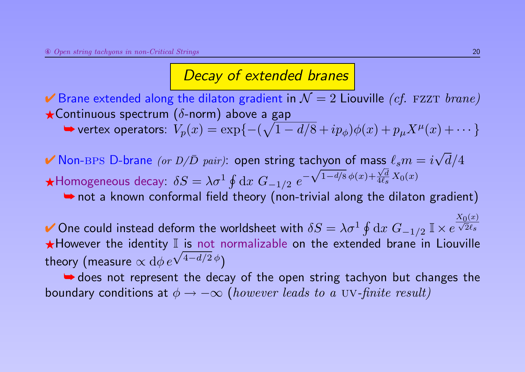► Brane extended along the dilaton gradient in  $\mathcal{N}=2$  Liouville *(cf. FZZT brane)*  $\star$ Continuous spectrum ( $\delta$ -norm) above a gap

 $\blacktriangleright$  vertex operators:  $V_p(x) = \exp\{- (\sqrt{1-d/8} + ip_\phi)\phi(x) + p_\mu X^\mu(x) + \cdots \}$ 

 $\blacktriangledown$  Non-BPS D-brane (or  $D/\bar{D}$  pair): open string tachyon of mass  $\ell_s m = i$ √  $d/4$  $\bigstar$ Homogeneous decay:  $\delta S = \lambda \sigma^1 \oint \mathrm{d} x \; G_{-1/2} \; e^{-\sqrt{1-d/8}\, \phi(x) + \frac{\sqrt{d}}{4\ell_s}}$ √ √  $\frac{\sqrt{a}}{4\ell_s}X_0(x)$ 

➥ not a known conformal field theory (non-trivial along the dilaton gradient)

✔ One could instead deform the worldsheet with  $\delta S = \lambda \sigma^1 \oint \mathrm{d} x \; G_{-1/2} \; \mathbb{I} \times e^{\frac{1}{2}}$  $\frac{X_0(x)}{f(x)}$  $2\ell_{\boldsymbol{s}}$ ★However the identity II is not normalizable on the extended brane in Liouville theory (measure  $\propto {\rm d}\phi\, e^{\sqrt{4-d/2}\,\phi})$ 

**►** does not represent the decay of the open string tachyon but changes the boundary conditions at  $\phi \rightarrow -\infty$  (however leads to a UV-finite result)